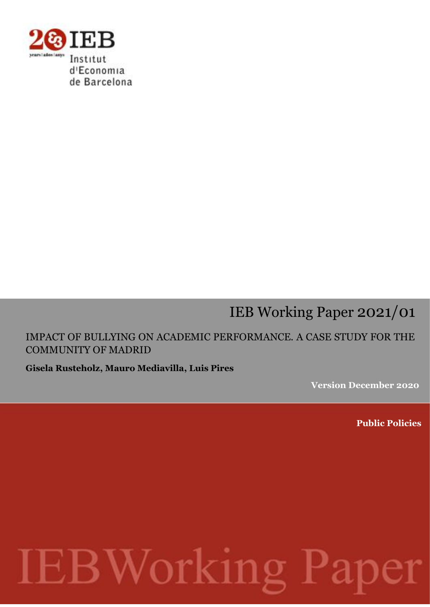

# IEB Working Paper 2021/01

IMPACT OF BULLYING ON ACADEMIC PERFORMANCE. A CASE STUDY FOR THE COMMUNITY OF MADRID

**Gisela Rusteholz, Mauro Mediavilla, Luis Pires**

**Version December 2020**

**Public Policies**

# $\exists \mathbf{B} \mathbf{W}$ orkin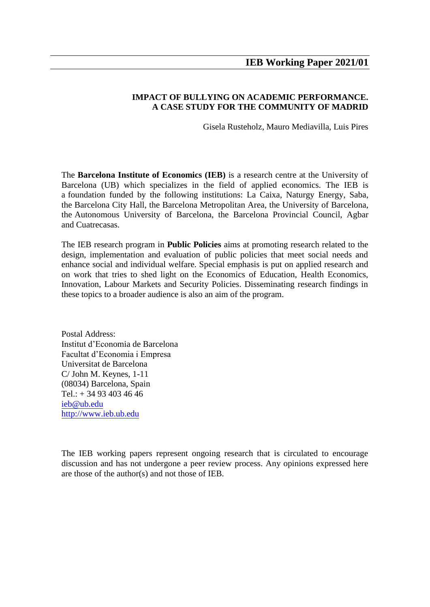#### **IMPACT OF BULLYING ON ACADEMIC PERFORMANCE. A CASE STUDY FOR THE COMMUNITY OF MADRID**

Gisela Rusteholz, Mauro Mediavilla, Luis Pires

The **Barcelona Institute of Economics (IEB)** is a research centre at the University of Barcelona (UB) which specializes in the field of applied economics. The IEB is a foundation funded by the following institutions: La Caixa, Naturgy Energy, Saba, the Barcelona City Hall, the Barcelona Metropolitan Area, the University of Barcelona, the Autonomous University of Barcelona, the Barcelona Provincial Council, Agbar and Cuatrecasas.

The IEB research program in **Public Policies** aims at promoting research related to the design, implementation and evaluation of public policies that meet social needs and enhance social and individual welfare. Special emphasis is put on applied research and on work that tries to shed light on the Economics of Education, Health Economics, Innovation, Labour Markets and Security Policies. Disseminating research findings in these topics to a broader audience is also an aim of the program.

Postal Address: Institut d'Economia de Barcelona Facultat d'Economia i Empresa Universitat de Barcelona C/ John M. Keynes, 1-11 (08034) Barcelona, Spain Tel.: + 34 93 403 46 46 [ieb@ub.edu](mailto:ieb@pcb.ub.es) [http://www.ieb.ub.edu](http://www.ieb.ub.edu/)

The IEB working papers represent ongoing research that is circulated to encourage discussion and has not undergone a peer review process. Any opinions expressed here are those of the author(s) and not those of IEB.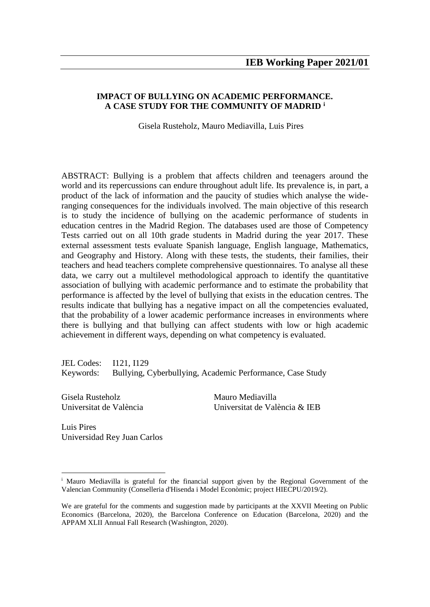#### **IMPACT OF BULLYING ON ACADEMIC PERFORMANCE. A CASE STUDY FOR THE COMMUNITY OF MADRID <sup>i</sup>**

Gisela Rusteholz, Mauro Mediavilla, Luis Pires

ABSTRACT: Bullying is a problem that affects children and teenagers around the world and its repercussions can endure throughout adult life. Its prevalence is, in part, a product of the lack of information and the paucity of studies which analyse the wideranging consequences for the individuals involved. The main objective of this research is to study the incidence of bullying on the academic performance of students in education centres in the Madrid Region. The databases used are those of Competency Tests carried out on all 10th grade students in Madrid during the year 2017. These external assessment tests evaluate Spanish language, English language, Mathematics, and Geography and History. Along with these tests, the students, their families, their teachers and head teachers complete comprehensive questionnaires. To analyse all these data, we carry out a multilevel methodological approach to identify the quantitative association of bullying with academic performance and to estimate the probability that performance is affected by the level of bullying that exists in the education centres. The results indicate that bullying has a negative impact on all the competencies evaluated, that the probability of a lower academic performance increases in environments where there is bullying and that bullying can affect students with low or high academic achievement in different ways, depending on what competency is evaluated.

JEL Codes: I121, I129 Keywords: Bullying, Cyberbullying, Academic Performance, Case Study

Gisela Rusteholz Universitat de València

1

Mauro Mediavilla Universitat de València & IEB

Luis Pires Universidad Rey Juan Carlos

<sup>&</sup>lt;sup>i</sup> Mauro Mediavilla is grateful for the financial support given by the Regional Government of the Valencian Community (Conselleria d'Hisenda i Model Econòmic; project HIECPU/2019/2).

We are grateful for the comments and suggestion made by participants at the XXVII Meeting on Public Economics (Barcelona, 2020), the Barcelona Conference on Education (Barcelona, 2020) and the APPAM XLII Annual Fall Research (Washington, 2020).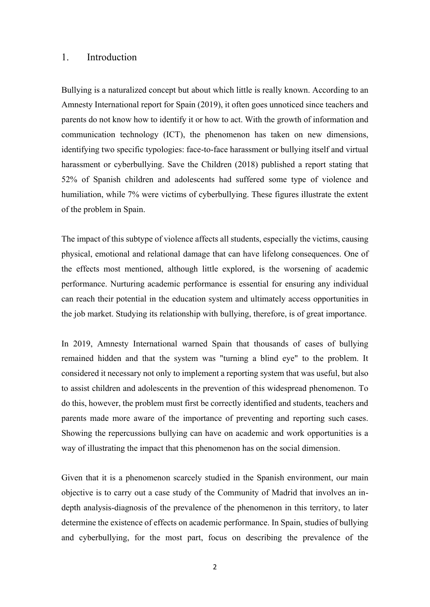#### 1. Introduction

Bullying is a naturalized concept but about which little is really known. According to an Amnesty International report for Spain (2019), it often goes unnoticed since teachers and parents do not know how to identify it or how to act. With the growth of information and communication technology (ICT), the phenomenon has taken on new dimensions, identifying two specific typologies: face-to-face harassment or bullying itself and virtual harassment or cyberbullying. Save the Children (2018) published a report stating that 52% of Spanish children and adolescents had suffered some type of violence and humiliation, while 7% were victims of cyberbullying. These figures illustrate the extent of the problem in Spain.

The impact of this subtype of violence affects all students, especially the victims, causing physical, emotional and relational damage that can have lifelong consequences. One of the effects most mentioned, although little explored, is the worsening of academic performance. Nurturing academic performance is essential for ensuring any individual can reach their potential in the education system and ultimately access opportunities in the job market. Studying its relationship with bullying, therefore, is of great importance.

In 2019, Amnesty International warned Spain that thousands of cases of bullying remained hidden and that the system was "turning a blind eye" to the problem. It considered it necessary not only to implement a reporting system that was useful, but also to assist children and adolescents in the prevention of this widespread phenomenon. To do this, however, the problem must first be correctly identified and students, teachers and parents made more aware of the importance of preventing and reporting such cases. Showing the repercussions bullying can have on academic and work opportunities is a way of illustrating the impact that this phenomenon has on the social dimension.

Given that it is a phenomenon scarcely studied in the Spanish environment, our main objective is to carry out a case study of the Community of Madrid that involves an indepth analysis-diagnosis of the prevalence of the phenomenon in this territory, to later determine the existence of effects on academic performance. In Spain, studies of bullying and cyberbullying, for the most part, focus on describing the prevalence of the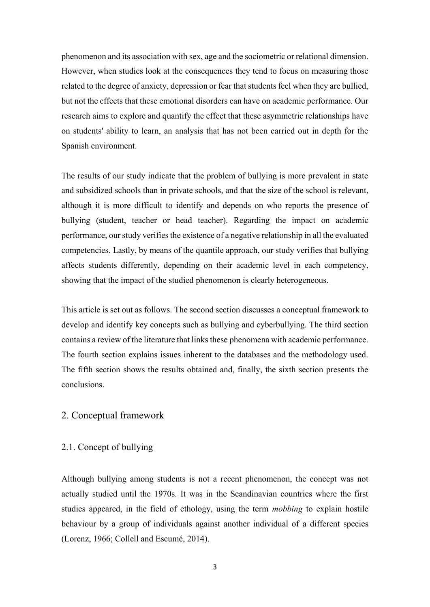phenomenon and its association with sex, age and the sociometric or relational dimension. However, when studies look at the consequences they tend to focus on measuring those related to the degree of anxiety, depression or fear that students feel when they are bullied, but not the effects that these emotional disorders can have on academic performance. Our research aims to explore and quantify the effect that these asymmetric relationships have on students' ability to learn, an analysis that has not been carried out in depth for the Spanish environment.

The results of our study indicate that the problem of bullying is more prevalent in state and subsidized schools than in private schools, and that the size of the school is relevant, although it is more difficult to identify and depends on who reports the presence of bullying (student, teacher or head teacher). Regarding the impact on academic performance, our study verifies the existence of a negative relationship in all the evaluated competencies. Lastly, by means of the quantile approach, our study verifies that bullying affects students differently, depending on their academic level in each competency, showing that the impact of the studied phenomenon is clearly heterogeneous.

This article is set out as follows. The second section discusses a conceptual framework to develop and identify key concepts such as bullying and cyberbullying. The third section contains a review of the literature that links these phenomena with academic performance. The fourth section explains issues inherent to the databases and the methodology used. The fifth section shows the results obtained and, finally, the sixth section presents the conclusions.

#### 2. Conceptual framework

#### 2.1. Concept of bullying

Although bullying among students is not a recent phenomenon, the concept was not actually studied until the 1970s. It was in the Scandinavian countries where the first studies appeared, in the field of ethology, using the term *mobbing* to explain hostile behaviour by a group of individuals against another individual of a different species (Lorenz, 1966; Collell and Escumé, 2014).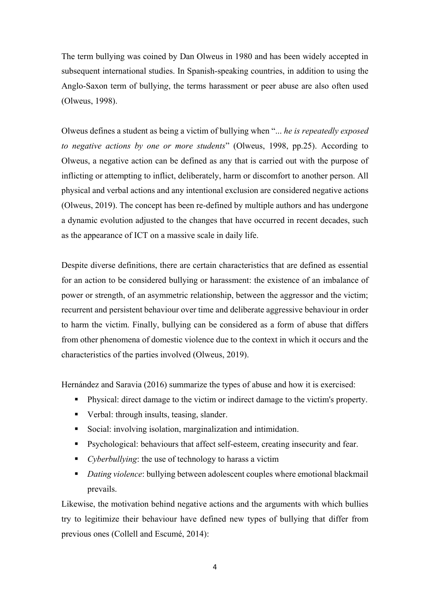The term bullying was coined by Dan Olweus in 1980 and has been widely accepted in subsequent international studies. In Spanish-speaking countries, in addition to using the Anglo-Saxon term of bullyin*g*, the terms harassment or peer abuse are also often used (Olweus, 1998).

Olweus defines a student as being a victim of bullying when "... *he is repeatedly exposed to negative actions by one or more students*" (Olweus, 1998, pp.25). According to Olweus, a negative action can be defined as any that is carried out with the purpose of inflicting or attempting to inflict, deliberately, harm or discomfort to another person. All physical and verbal actions and any intentional exclusion are considered negative actions (Olweus, 2019). The concept has been re-defined by multiple authors and has undergone a dynamic evolution adjusted to the changes that have occurred in recent decades, such as the appearance of ICT on a massive scale in daily life.

Despite diverse definitions, there are certain characteristics that are defined as essential for an action to be considered bullying or harassment: the existence of an imbalance of power or strength, of an asymmetric relationship, between the aggressor and the victim; recurrent and persistent behaviour over time and deliberate aggressive behaviour in order to harm the victim. Finally, bullying can be considered as a form of abuse that differs from other phenomena of domestic violence due to the context in which it occurs and the characteristics of the parties involved (Olweus, 2019).

Hernández and Saravia (2016) summarize the types of abuse and how it is exercised:

- Physical: direct damage to the victim or indirect damage to the victim's property.
- Verbal: through insults, teasing, slander.
- Social: involving isolation, marginalization and intimidation.
- **Psychological: behaviours that affect self-esteem, creating insecurity and fear.**
- *Cyberbullying*: the use of technology to harass a victim
- **•** *Dating violence*: bullying between adolescent couples where emotional blackmail prevails.

Likewise, the motivation behind negative actions and the arguments with which bullies try to legitimize their behaviour have defined new types of bullying that differ from previous ones (Collell and Escumé, 2014):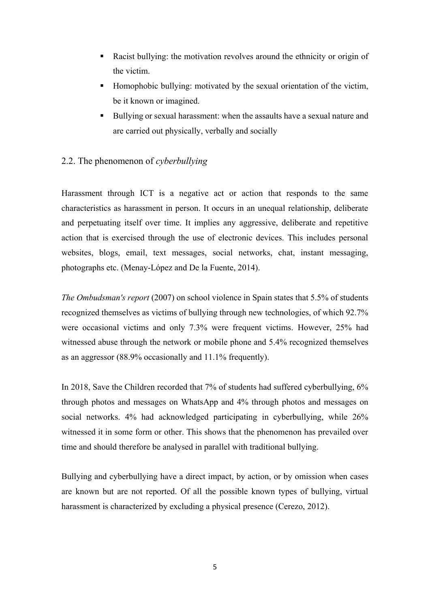- Racist bullying: the motivation revolves around the ethnicity or origin of the victim.
- Homophobic bullying: motivated by the sexual orientation of the victim, be it known or imagined.
- Bullying or sexual harassment: when the assaults have a sexual nature and are carried out physically, verbally and socially

### 2.2. The phenomenon of *cyberbullying*

Harassment through ICT is a negative act or action that responds to the same characteristics as harassment in person. It occurs in an unequal relationship, deliberate and perpetuating itself over time. It implies any aggressive, deliberate and repetitive action that is exercised through the use of electronic devices. This includes personal websites, blogs, email, text messages, social networks, chat, instant messaging, photographs etc. (Menay-López and De la Fuente, 2014).

*The Ombudsman's report* (2007) on school violence in Spain states that 5.5% of students recognized themselves as victims of bullying through new technologies, of which 92.7% were occasional victims and only 7.3% were frequent victims. However, 25% had witnessed abuse through the network or mobile phone and 5.4% recognized themselves as an aggressor (88.9% occasionally and 11.1% frequently).

In 2018, Save the Children recorded that 7% of students had suffered cyberbullying, 6% through photos and messages on WhatsApp and 4% through photos and messages on social networks. 4% had acknowledged participating in cyberbullying, while 26% witnessed it in some form or other. This shows that the phenomenon has prevailed over time and should therefore be analysed in parallel with traditional bullying.

Bullying and cyberbullying have a direct impact, by action, or by omission when cases are known but are not reported. Of all the possible known types of bullying, virtual harassment is characterized by excluding a physical presence (Cerezo, 2012).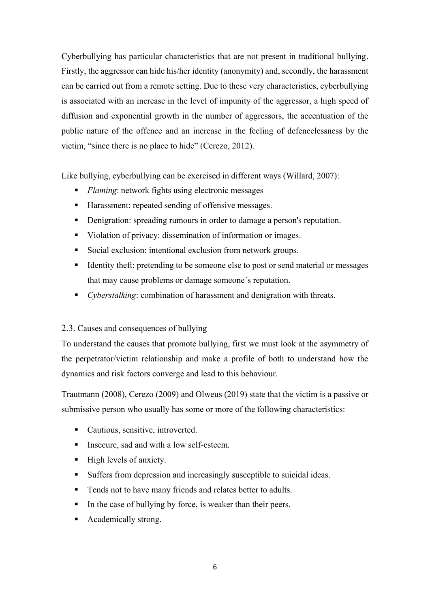Cyberbullying has particular characteristics that are not present in traditional bullying. Firstly, the aggressor can hide his/her identity (anonymity) and, secondly, the harassment can be carried out from a remote setting. Due to these very characteristics, cyberbullying is associated with an increase in the level of impunity of the aggressor, a high speed of diffusion and exponential growth in the number of aggressors, the accentuation of the public nature of the offence and an increase in the feeling of defencelessness by the victim, "since there is no place to hide" (Cerezo, 2012).

Like bullying, cyberbullying can be exercised in different ways (Willard, 2007):

- **Flaming: network fights using electronic messages**
- Harassment: repeated sending of offensive messages.
- Denigration: spreading rumours in order to damage a person's reputation.
- Violation of privacy: dissemination of information or images.
- Social exclusion: intentional exclusion from network groups.
- Identity theft: pretending to be someone else to post or send material or messages that may cause problems or damage someone´s reputation.
- *Cyberstalking*: combination of harassment and denigration with threats.

#### 2.3. Causes and consequences of bullying

To understand the causes that promote bullying, first we must look at the asymmetry of the perpetrator/victim relationship and make a profile of both to understand how the dynamics and risk factors converge and lead to this behaviour.

Trautmann (2008), Cerezo (2009) and Olweus (2019) state that the victim is a passive or submissive person who usually has some or more of the following characteristics:

- Cautious, sensitive, introverted.
- Insecure, sad and with a low self-esteem.
- $\blacksquare$  High levels of anxiety.
- Suffers from depression and increasingly susceptible to suicidal ideas.
- **Tends not to have many friends and relates better to adults.**
- In the case of bullying by force, is weaker than their peers.
- Academically strong.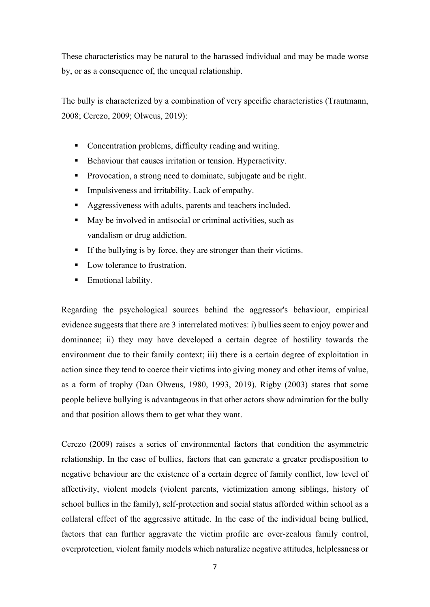These characteristics may be natural to the harassed individual and may be made worse by, or as a consequence of, the unequal relationship.

The bully is characterized by a combination of very specific characteristics (Trautmann, 2008; Cerezo, 2009; Olweus, 2019):

- Concentration problems, difficulty reading and writing.
- Behaviour that causes irritation or tension. Hyperactivity.
- **Provocation, a strong need to dominate, subjugate and be right.**
- **Impulsiveness and irritability. Lack of empathy.**
- Aggressiveness with adults, parents and teachers included.
- May be involved in antisocial or criminal activities, such as vandalism or drug addiction.
- If the bullying is by force, they are stronger than their victims.
- Low tolerance to frustration.
- **Emotional lability.**

Regarding the psychological sources behind the aggressor's behaviour, empirical evidence suggests that there are 3 interrelated motives: i) bullies seem to enjoy power and dominance; ii) they may have developed a certain degree of hostility towards the environment due to their family context; iii) there is a certain degree of exploitation in action since they tend to coerce their victims into giving money and other items of value, as a form of trophy (Dan Olweus, 1980, 1993, 2019). Rigby (2003) states that some people believe bullying is advantageous in that other actors show admiration for the bully and that position allows them to get what they want.

Cerezo (2009) raises a series of environmental factors that condition the asymmetric relationship. In the case of bullies, factors that can generate a greater predisposition to negative behaviour are the existence of a certain degree of family conflict, low level of affectivity, violent models (violent parents, victimization among siblings, history of school bullies in the family), self-protection and social status afforded within school as a collateral effect of the aggressive attitude. In the case of the individual being bullied, factors that can further aggravate the victim profile are over-zealous family control, overprotection, violent family models which naturalize negative attitudes, helplessness or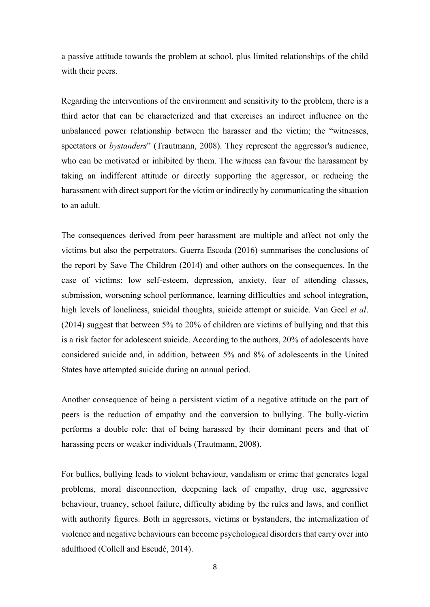a passive attitude towards the problem at school, plus limited relationships of the child with their peers.

Regarding the interventions of the environment and sensitivity to the problem, there is a third actor that can be characterized and that exercises an indirect influence on the unbalanced power relationship between the harasser and the victim; the "witnesses, spectators or *bystanders*" (Trautmann, 2008). They represent the aggressor's audience, who can be motivated or inhibited by them. The witness can favour the harassment by taking an indifferent attitude or directly supporting the aggressor, or reducing the harassment with direct support for the victim or indirectly by communicating the situation to an adult.

The consequences derived from peer harassment are multiple and affect not only the victims but also the perpetrators. Guerra Escoda (2016) summarises the conclusions of the report by Save The Children (2014) and other authors on the consequences. In the case of victims: low self-esteem, depression, anxiety, fear of attending classes, submission, worsening school performance, learning difficulties and school integration, high levels of loneliness, suicidal thoughts, suicide attempt or suicide. Van Geel *et al*. (2014) suggest that between 5% to 20% of children are victims of bullying and that this is a risk factor for adolescent suicide. According to the authors, 20% of adolescents have considered suicide and, in addition, between 5% and 8% of adolescents in the United States have attempted suicide during an annual period.

Another consequence of being a persistent victim of a negative attitude on the part of peers is the reduction of empathy and the conversion to bullying. The bully-victim performs a double role: that of being harassed by their dominant peers and that of harassing peers or weaker individuals (Trautmann, 2008).

For bullies, bullying leads to violent behaviour, vandalism or crime that generates legal problems, moral disconnection, deepening lack of empathy, drug use, aggressive behaviour, truancy, school failure, difficulty abiding by the rules and laws, and conflict with authority figures. Both in aggressors, victims or bystanders, the internalization of violence and negative behaviours can become psychological disorders that carry over into adulthood (Collell and Escudé, 2014).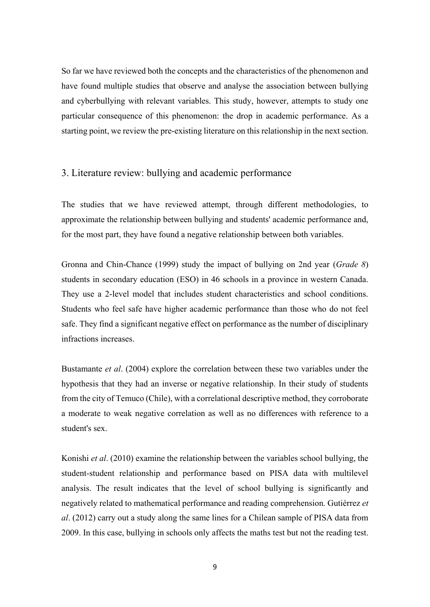So far we have reviewed both the concepts and the characteristics of the phenomenon and have found multiple studies that observe and analyse the association between bullying and cyberbullying with relevant variables. This study, however, attempts to study one particular consequence of this phenomenon: the drop in academic performance. As a starting point, we review the pre-existing literature on this relationship in the next section.

#### 3. Literature review: bullying and academic performance

The studies that we have reviewed attempt, through different methodologies, to approximate the relationship between bullying and students' academic performance and, for the most part, they have found a negative relationship between both variables.

Gronna and Chin-Chance (1999) study the impact of bullying on 2nd year (*Grade 8*) students in secondary education (ESO) in 46 schools in a province in western Canada. They use a 2-level model that includes student characteristics and school conditions. Students who feel safe have higher academic performance than those who do not feel safe. They find a significant negative effect on performance as the number of disciplinary infractions increases.

Bustamante *et al*. (2004) explore the correlation between these two variables under the hypothesis that they had an inverse or negative relationship. In their study of students from the city of Temuco (Chile), with a correlational descriptive method, they corroborate a moderate to weak negative correlation as well as no differences with reference to a student's sex.

Konishi *et al*. (2010) examine the relationship between the variables school bullying, the student-student relationship and performance based on PISA data with multilevel analysis. The result indicates that the level of school bullying is significantly and negatively related to mathematical performance and reading comprehension. Gutiérrez *et al*. (2012) carry out a study along the same lines for a Chilean sample of PISA data from 2009. In this case, bullying in schools only affects the maths test but not the reading test.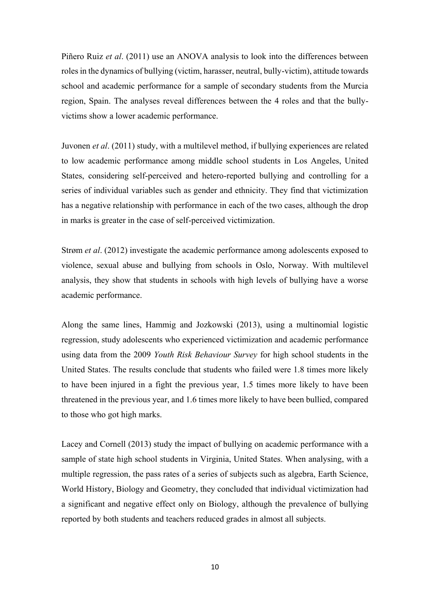Piñero Ruiz *et al*. (2011) use an ANOVA analysis to look into the differences between roles in the dynamics of bullying (victim, harasser, neutral, bully-victim), attitude towards school and academic performance for a sample of secondary students from the Murcia region, Spain. The analyses reveal differences between the 4 roles and that the bullyvictims show a lower academic performance.

Juvonen *et al*. (2011) study, with a multilevel method, if bullying experiences are related to low academic performance among middle school students in Los Angeles, United States, considering self-perceived and hetero-reported bullying and controlling for a series of individual variables such as gender and ethnicity. They find that victimization has a negative relationship with performance in each of the two cases, although the drop in marks is greater in the case of self-perceived victimization.

Strøm *et al*. (2012) investigate the academic performance among adolescents exposed to violence, sexual abuse and bullying from schools in Oslo, Norway. With multilevel analysis, they show that students in schools with high levels of bullying have a worse academic performance.

Along the same lines, Hammig and Jozkowski (2013), using a multinomial logistic regression, study adolescents who experienced victimization and academic performance using data from the 2009 *Youth Risk Behaviour Survey* for high school students in the United States. The results conclude that students who failed were 1.8 times more likely to have been injured in a fight the previous year, 1.5 times more likely to have been threatened in the previous year, and 1.6 times more likely to have been bullied, compared to those who got high marks.

Lacey and Cornell (2013) study the impact of bullying on academic performance with a sample of state high school students in Virginia, United States. When analysing, with a multiple regression, the pass rates of a series of subjects such as algebra, Earth Science, World History, Biology and Geometry, they concluded that individual victimization had a significant and negative effect only on Biology, although the prevalence of bullying reported by both students and teachers reduced grades in almost all subjects.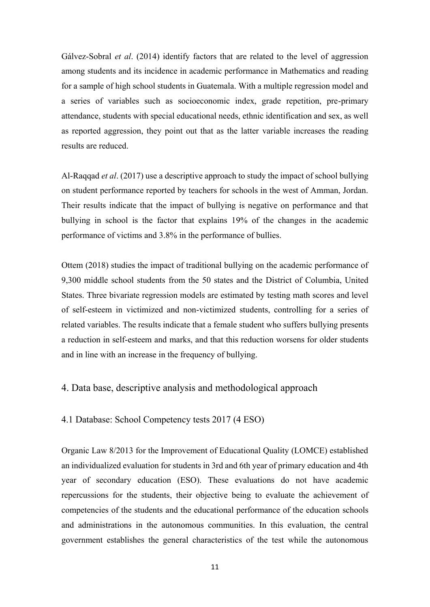Gálvez-Sobral *et al*. (2014) identify factors that are related to the level of aggression among students and its incidence in academic performance in Mathematics and reading for a sample of high school students in Guatemala. With a multiple regression model and a series of variables such as socioeconomic index, grade repetition, pre-primary attendance, students with special educational needs, ethnic identification and sex, as well as reported aggression, they point out that as the latter variable increases the reading results are reduced.

Al-Raqqad *et al*. (2017) use a descriptive approach to study the impact of school bullying on student performance reported by teachers for schools in the west of Amman, Jordan. Their results indicate that the impact of bullying is negative on performance and that bullying in school is the factor that explains 19% of the changes in the academic performance of victims and 3.8% in the performance of bullies.

Ottem (2018) studies the impact of traditional bullying on the academic performance of 9,300 middle school students from the 50 states and the District of Columbia, United States. Three bivariate regression models are estimated by testing math scores and level of self-esteem in victimized and non-victimized students, controlling for a series of related variables. The results indicate that a female student who suffers bullying presents a reduction in self-esteem and marks, and that this reduction worsens for older students and in line with an increase in the frequency of bullying.

#### 4. Data base, descriptive analysis and methodological approach

#### 4.1 Database: School Competency tests 2017 (4 ESO)

Organic Law 8/2013 for the Improvement of Educational Quality (LOMCE) established an individualized evaluation for students in 3rd and 6th year of primary education and 4th year of secondary education (ESO). These evaluations do not have academic repercussions for the students, their objective being to evaluate the achievement of competencies of the students and the educational performance of the education schools and administrations in the autonomous communities. In this evaluation, the central government establishes the general characteristics of the test while the autonomous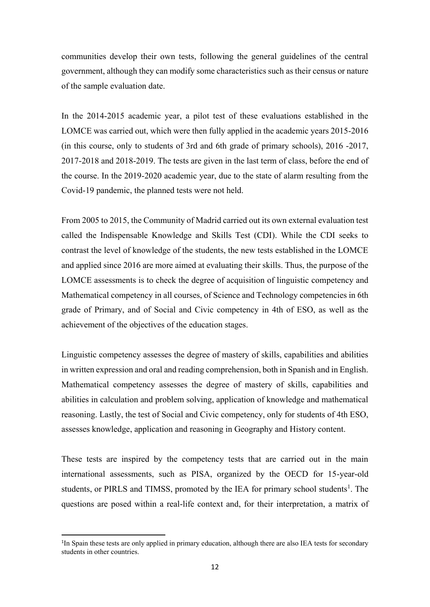communities develop their own tests, following the general guidelines of the central government, although they can modify some characteristics such as their census or nature of the sample evaluation date.

In the 2014-2015 academic year, a pilot test of these evaluations established in the LOMCE was carried out, which were then fully applied in the academic years 2015-2016 (in this course, only to students of 3rd and 6th grade of primary schools), 2016 -2017, 2017-2018 and 2018-2019. The tests are given in the last term of class, before the end of the course. In the 2019-2020 academic year, due to the state of alarm resulting from the Covid-19 pandemic, the planned tests were not held.

From 2005 to 2015, the Community of Madrid carried out its own external evaluation test called the Indispensable Knowledge and Skills Test (CDI). While the CDI seeks to contrast the level of knowledge of the students, the new tests established in the LOMCE and applied since 2016 are more aimed at evaluating their skills. Thus, the purpose of the LOMCE assessments is to check the degree of acquisition of linguistic competency and Mathematical competency in all courses, of Science and Technology competencies in 6th grade of Primary, and of Social and Civic competency in 4th of ESO, as well as the achievement of the objectives of the education stages.

Linguistic competency assesses the degree of mastery of skills, capabilities and abilities in written expression and oral and reading comprehension, both in Spanish and in English. Mathematical competency assesses the degree of mastery of skills, capabilities and abilities in calculation and problem solving, application of knowledge and mathematical reasoning. Lastly, the test of Social and Civic competency, only for students of 4th ESO, assesses knowledge, application and reasoning in Geography and History content.

These tests are inspired by the competency tests that are carried out in the main international assessments, such as PISA, organized by the OECD for 15-year-old students, or PIRLS and TIMSS, promoted by the IEA for primary school students<sup>1</sup>. The questions are posed within a real-life context and, for their interpretation, a matrix of

<sup>&</sup>lt;sup>1</sup>In Spain these tests are only applied in primary education, although there are also IEA tests for secondary students in other countries.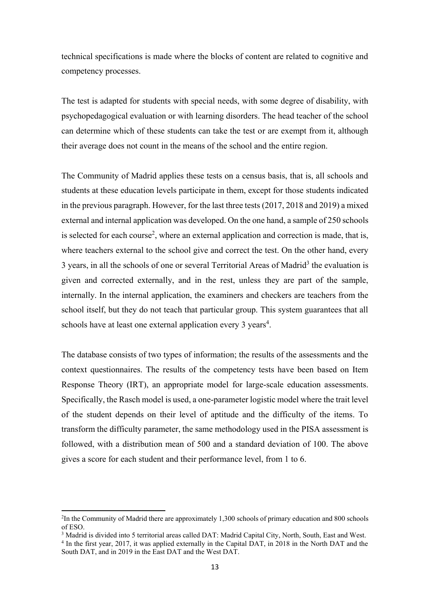technical specifications is made where the blocks of content are related to cognitive and competency processes.

The test is adapted for students with special needs, with some degree of disability, with psychopedagogical evaluation or with learning disorders. The head teacher of the school can determine which of these students can take the test or are exempt from it, although their average does not count in the means of the school and the entire region.

The Community of Madrid applies these tests on a census basis, that is, all schools and students at these education levels participate in them, except for those students indicated in the previous paragraph. However, for the last three tests (2017, 2018 and 2019) a mixed external and internal application was developed. On the one hand, a sample of 250 schools is selected for each course<sup>2</sup>, where an external application and correction is made, that is, where teachers external to the school give and correct the test. On the other hand, every 3 years, in all the schools of one or several Territorial Areas of Madrid<sup>3</sup> the evaluation is given and corrected externally, and in the rest, unless they are part of the sample, internally. In the internal application, the examiners and checkers are teachers from the school itself, but they do not teach that particular group. This system guarantees that all schools have at least one external application every 3 years<sup>4</sup>.

The database consists of two types of information; the results of the assessments and the context questionnaires. The results of the competency tests have been based on Item Response Theory (IRT), an appropriate model for large-scale education assessments. Specifically, the Rasch model is used, a one-parameter logistic model where the trait level of the student depends on their level of aptitude and the difficulty of the items. To transform the difficulty parameter, the same methodology used in the PISA assessment is followed, with a distribution mean of 500 and a standard deviation of 100. The above gives a score for each student and their performance level, from 1 to 6.

1

<sup>2</sup> In the Community of Madrid there are approximately 1,300 schools of primary education and 800 schools of ESO.

<sup>&</sup>lt;sup>3</sup> Madrid is divided into 5 territorial areas called DAT: Madrid Capital City, North, South, East and West.

<sup>4</sup> In the first year, 2017, it was applied externally in the Capital DAT, in 2018 in the North DAT and the South DAT, and in 2019 in the East DAT and the West DAT.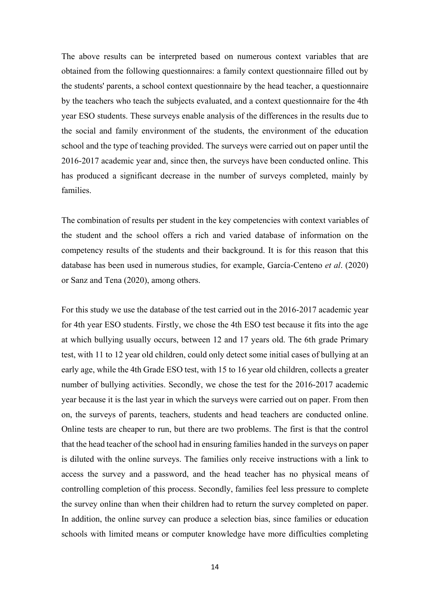The above results can be interpreted based on numerous context variables that are obtained from the following questionnaires: a family context questionnaire filled out by the students' parents, a school context questionnaire by the head teacher, a questionnaire by the teachers who teach the subjects evaluated, and a context questionnaire for the 4th year ESO students. These surveys enable analysis of the differences in the results due to the social and family environment of the students, the environment of the education school and the type of teaching provided. The surveys were carried out on paper until the 2016-2017 academic year and, since then, the surveys have been conducted online. This has produced a significant decrease in the number of surveys completed, mainly by families.

The combination of results per student in the key competencies with context variables of the student and the school offers a rich and varied database of information on the competency results of the students and their background. It is for this reason that this database has been used in numerous studies, for example, García-Centeno *et al*. (2020) or Sanz and Tena (2020), among others.

For this study we use the database of the test carried out in the 2016-2017 academic year for 4th year ESO students. Firstly, we chose the 4th ESO test because it fits into the age at which bullying usually occurs, between 12 and 17 years old. The 6th grade Primary test, with 11 to 12 year old children, could only detect some initial cases of bullying at an early age, while the 4th Grade ESO test, with 15 to 16 year old children, collects a greater number of bullying activities. Secondly, we chose the test for the 2016-2017 academic year because it is the last year in which the surveys were carried out on paper. From then on, the surveys of parents, teachers, students and head teachers are conducted online. Online tests are cheaper to run, but there are two problems. The first is that the control that the head teacher of the school had in ensuring families handed in the surveys on paper is diluted with the online surveys. The families only receive instructions with a link to access the survey and a password, and the head teacher has no physical means of controlling completion of this process. Secondly, families feel less pressure to complete the survey online than when their children had to return the survey completed on paper. In addition, the online survey can produce a selection bias, since families or education schools with limited means or computer knowledge have more difficulties completing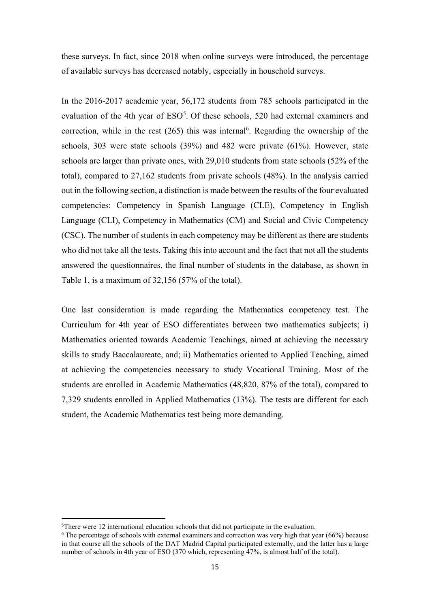these surveys. In fact, since 2018 when online surveys were introduced, the percentage of available surveys has decreased notably, especially in household surveys.

In the 2016-2017 academic year, 56,172 students from 785 schools participated in the evaluation of the 4th year of ESO<sup>5</sup>. Of these schools, 520 had external examiners and correction, while in the rest  $(265)$  this was internal<sup>6</sup>. Regarding the ownership of the schools, 303 were state schools (39%) and 482 were private (61%). However, state schools are larger than private ones, with 29,010 students from state schools (52% of the total), compared to 27,162 students from private schools (48%). In the analysis carried out in the following section, a distinction is made between the results of the four evaluated competencies: Competency in Spanish Language (CLE), Competency in English Language (CLI), Competency in Mathematics (CM) and Social and Civic Competency (CSC). The number of students in each competency may be different as there are students who did not take all the tests. Taking this into account and the fact that not all the students answered the questionnaires, the final number of students in the database, as shown in Table 1, is a maximum of 32,156 (57% of the total).

One last consideration is made regarding the Mathematics competency test. The Curriculum for 4th year of ESO differentiates between two mathematics subjects; i) Mathematics oriented towards Academic Teachings, aimed at achieving the necessary skills to study Baccalaureate, and; ii) Mathematics oriented to Applied Teaching, aimed at achieving the competencies necessary to study Vocational Training. Most of the students are enrolled in Academic Mathematics (48,820, 87% of the total), compared to 7,329 students enrolled in Applied Mathematics (13%). The tests are different for each student, the Academic Mathematics test being more demanding.

<sup>&</sup>lt;sup>5</sup>There were 12 international education schools that did not participate in the evaluation.

 $6$  The percentage of schools with external examiners and correction was very high that year (66%) because in that course all the schools of the DAT Madrid Capital participated externally, and the latter has a large number of schools in 4th year of ESO (370 which, representing 47%, is almost half of the total).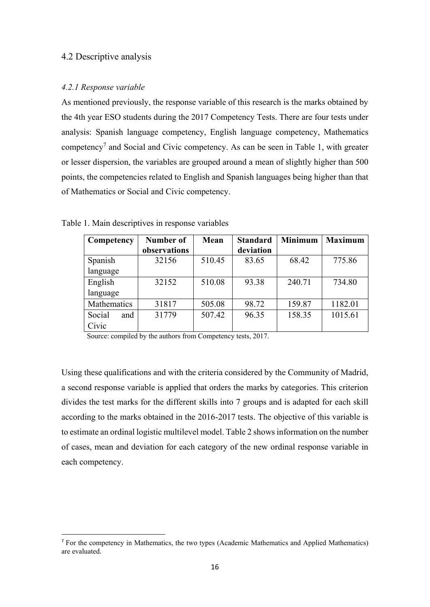#### 4.2 Descriptive analysis

#### *4.2.1 Response variable*

**.** 

As mentioned previously, the response variable of this research is the marks obtained by the 4th year ESO students during the 2017 Competency Tests. There are four tests under analysis: Spanish language competency, English language competency, Mathematics competency<sup>7</sup> and Social and Civic competency. As can be seen in Table 1, with greater or lesser dispersion, the variables are grouped around a mean of slightly higher than 500 points, the competencies related to English and Spanish languages being higher than that of Mathematics or Social and Civic competency.

| Competency    | Number of    | Mean   | <b>Standard</b> | <b>Minimum</b> | <b>Maximum</b> |
|---------------|--------------|--------|-----------------|----------------|----------------|
|               | observations |        | deviation       |                |                |
| Spanish       | 32156        | 510.45 | 83.65           | 68.42          | 775.86         |
| language      |              |        |                 |                |                |
| English       | 32152        | 510.08 | 93.38           | 240.71         | 734.80         |
| language      |              |        |                 |                |                |
| Mathematics   | 31817        | 505.08 | 98.72           | 159.87         | 1182.01        |
| Social<br>and | 31779        | 507.42 | 96.35           | 158.35         | 1015.61        |
| Civic         |              |        |                 |                |                |

Table 1. Main descriptives in response variables

Source: compiled by the authors from Competency tests, 2017.

Using these qualifications and with the criteria considered by the Community of Madrid, a second response variable is applied that orders the marks by categories. This criterion divides the test marks for the different skills into 7 groups and is adapted for each skill according to the marks obtained in the 2016-2017 tests. The objective of this variable is to estimate an ordinal logistic multilevel model. Table 2 shows information on the number of cases, mean and deviation for each category of the new ordinal response variable in each competency.

<sup>7</sup> For the competency in Mathematics, the two types (Academic Mathematics and Applied Mathematics) are evaluated.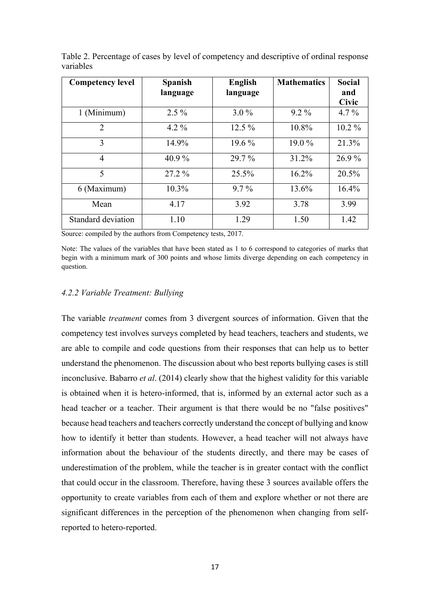| <b>Competency level</b> | <b>Spanish</b><br>language | English<br>language | <b>Mathematics</b> | <b>Social</b><br>and<br><b>Civic</b> |
|-------------------------|----------------------------|---------------------|--------------------|--------------------------------------|
| 1 (Minimum)             | $2.5\%$                    | $3.0\%$             | $9.2\%$            | $4.7\%$                              |
| $\overline{2}$          | $4.2\%$                    | $12.5\%$            | 10.8%              | $10.2\%$                             |
| 3                       | 14.9%                      | $19.6\%$            | $19.0\%$           | 21.3%                                |
| $\overline{4}$          | 40.9%                      | 29.7 %              | 31.2%              | 26.9%                                |
| 5                       | $27.2\%$                   | 25.5%               | $16.2\%$           | 20.5%                                |
| 6 (Maximum)             | 10.3%                      | $9.7\%$             | 13.6%              | 16.4%                                |
| Mean                    | 4.17                       | 3.92                | 3.78               | 3.99                                 |
| Standard deviation      | 1.10                       | 1.29                | 1.50               | 1.42                                 |

Table 2. Percentage of cases by level of competency and descriptive of ordinal response variables

Source: compiled by the authors from Competency tests, 2017.

Note: The values of the variables that have been stated as 1 to 6 correspond to categories of marks that begin with a minimum mark of 300 points and whose limits diverge depending on each competency in question.

#### *4.2.2 Variable Treatment: Bullying*

The variable *treatment* comes from 3 divergent sources of information. Given that the competency test involves surveys completed by head teachers, teachers and students, we are able to compile and code questions from their responses that can help us to better understand the phenomenon. The discussion about who best reports bullying cases is still inconclusive. Babarro *et al*. (2014) clearly show that the highest validity for this variable is obtained when it is hetero-informed, that is, informed by an external actor such as a head teacher or a teacher. Their argument is that there would be no "false positives" because head teachers and teachers correctly understand the concept of bullying and know how to identify it better than students. However, a head teacher will not always have information about the behaviour of the students directly, and there may be cases of underestimation of the problem, while the teacher is in greater contact with the conflict that could occur in the classroom. Therefore, having these 3 sources available offers the opportunity to create variables from each of them and explore whether or not there are significant differences in the perception of the phenomenon when changing from selfreported to hetero-reported.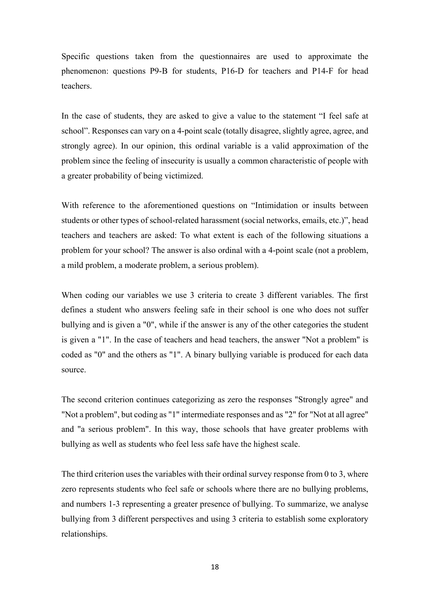Specific questions taken from the questionnaires are used to approximate the phenomenon: questions P9-B for students, P16-D for teachers and P14-F for head teachers.

In the case of students, they are asked to give a value to the statement "I feel safe at school". Responses can vary on a 4-point scale (totally disagree, slightly agree, agree, and strongly agree). In our opinion, this ordinal variable is a valid approximation of the problem since the feeling of insecurity is usually a common characteristic of people with a greater probability of being victimized.

With reference to the aforementioned questions on "Intimidation or insults between students or other types of school-related harassment (social networks, emails, etc.)", head teachers and teachers are asked: To what extent is each of the following situations a problem for your school? The answer is also ordinal with a 4-point scale (not a problem, a mild problem, a moderate problem, a serious problem).

When coding our variables we use 3 criteria to create 3 different variables. The first defines a student who answers feeling safe in their school is one who does not suffer bullying and is given a "0", while if the answer is any of the other categories the student is given a "1". In the case of teachers and head teachers, the answer "Not a problem" is coded as "0" and the others as "1". A binary bullying variable is produced for each data source.

The second criterion continues categorizing as zero the responses "Strongly agree" and "Not a problem", but coding as "1" intermediate responses and as "2" for "Not at all agree" and "a serious problem". In this way, those schools that have greater problems with bullying as well as students who feel less safe have the highest scale.

The third criterion uses the variables with their ordinal survey response from 0 to 3, where zero represents students who feel safe or schools where there are no bullying problems, and numbers 1-3 representing a greater presence of bullying. To summarize, we analyse bullying from 3 different perspectives and using 3 criteria to establish some exploratory relationships.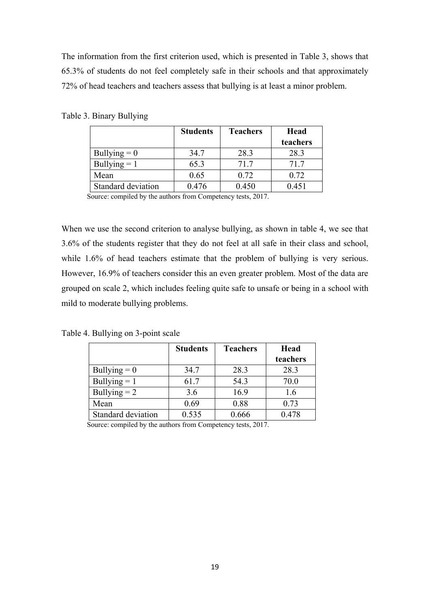The information from the first criterion used, which is presented in Table 3, shows that 65.3% of students do not feel completely safe in their schools and that approximately 72% of head teachers and teachers assess that bullying is at least a minor problem.

|                    | <b>Students</b> | <b>Teachers</b> | Head     |
|--------------------|-----------------|-----------------|----------|
|                    |                 |                 | teachers |
| Bullying $= 0$     | 34.7            | 28.3            | 28.3     |
| Bullying $= 1$     | 65.3            | 71.7            | 71.7     |
| Mean               | 0.65            | 0.72            | 0.72     |
| Standard deviation | 0.476           | 0.450           | 0.451    |

Table 3. Binary Bullying

Source: compiled by the authors from Competency tests, 2017.

When we use the second criterion to analyse bullying, as shown in table 4, we see that 3.6% of the students register that they do not feel at all safe in their class and school, while 1.6% of head teachers estimate that the problem of bullying is very serious. However, 16.9% of teachers consider this an even greater problem. Most of the data are grouped on scale 2, which includes feeling quite safe to unsafe or being in a school with mild to moderate bullying problems.

Table 4. Bullying on 3-point scale

|                    | <b>Students</b> | <b>Teachers</b> | Head     |
|--------------------|-----------------|-----------------|----------|
|                    |                 |                 | teachers |
| Bullying $= 0$     | 34.7            | 28.3            | 28.3     |
| Bullying $= 1$     | 61.7            | 54.3            | 70.0     |
| Bullying $= 2$     | 3.6             | 16.9            | 1.6      |
| Mean               | 0.69            | 0.88            | 0.73     |
| Standard deviation | 0.535           | 0.666           | 0.478    |

Source: compiled by the authors from Competency tests, 2017.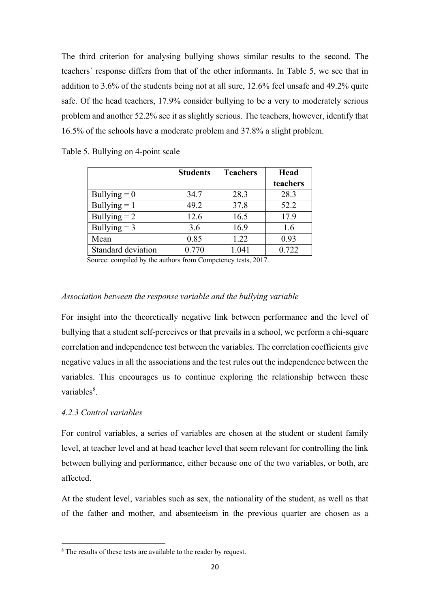The third criterion for analysing bullying shows similar results to the second. The teachers´ response differs from that of the other informants. In Table 5, we see that in addition to 3.6% of the students being not at all sure, 12.6% feel unsafe and 49.2% quite safe. Of the head teachers, 17.9% consider bullying to be a very to moderately serious problem and another 52.2% see it as slightly serious. The teachers, however, identify that 16.5% of the schools have a moderate problem and 37.8% a slight problem.

Table 5. Bullying on 4-point scale

|                    | <b>Students</b> | <b>Teachers</b> | Head<br>teachers |
|--------------------|-----------------|-----------------|------------------|
| Bullying $= 0$     | 34.7            | 28.3            | 28.3             |
| Bullying $= 1$     | 49.2            | 37.8            | 52.2             |
| Bullying $= 2$     | 12.6            | 16.5            | 17.9             |
| Bullying $=$ 3     | 3.6             | 16.9            | 1.6              |
| Mean               | 0.85            | 1.22            | 0.93             |
| Standard deviation | 0.770           | 1.041           | 0.722            |

Source: compiled by the authors from Competency tests, 2017.

#### *Association between the response variable and the bullying variable*

For insight into the theoretically negative link between performance and the level of bullying that a student self-perceives or that prevails in a school, we perform a chi-square correlation and independence test between the variables. The correlation coefficients give negative values in all the associations and the test rules out the independence between the variables. This encourages us to continue exploring the relationship between these variables<sup>8</sup>.

#### *4.2.3 Control variables*

**.** 

For control variables, a series of variables are chosen at the student or student family level, at teacher level and at head teacher level that seem relevant for controlling the link between bullying and performance, either because one of the two variables, or both, are affected.

At the student level, variables such as sex, the nationality of the student, as well as that of the father and mother, and absenteeism in the previous quarter are chosen as a

 $8$  The results of these tests are available to the reader by request.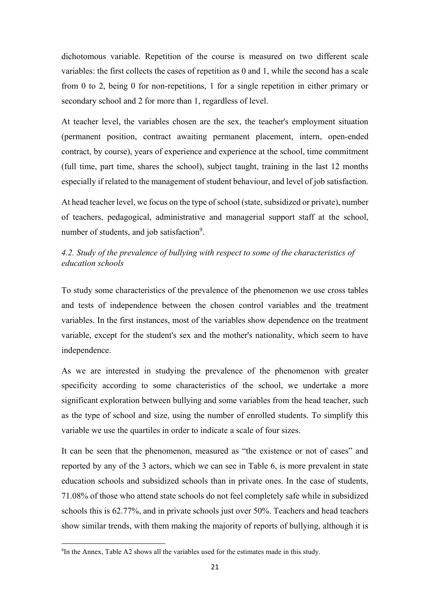dichotomous variable. Repetition of the course is measured on two different scale variables: the first collects the cases of repetition as 0 and 1, while the second has a scale from 0 to 2, being 0 for non-repetitions, 1 for a single repetition in either primary or secondary school and 2 for more than 1, regardless of level.

At teacher level, the variables chosen are the sex, the teacher's employment situation (permanent position, contract awaiting permanent placement, intern, open-ended contract, by course), years of experience and experience at the school, time commitment (full time, part time, shares the school), subject taught, training in the last 12 months especially if related to the management of student behaviour, and level of job satisfaction.

At head teacher level, we focus on the type of school (state, subsidized or private), number of teachers, pedagogical, administrative and managerial support staff at the school, number of students, and job satisfaction<sup>9</sup>.

### *4.2. Study of the prevalence of bullying with respect to some of the characteristics of education schools*

To study some characteristics of the prevalence of the phenomenon we use cross tables and tests of independence between the chosen control variables and the treatment variables. In the first instances, most of the variables show dependence on the treatment variable, except for the student's sex and the mother's nationality, which seem to have independence.

As we are interested in studying the prevalence of the phenomenon with greater specificity according to some characteristics of the school, we undertake a more significant exploration between bullying and some variables from the head teacher, such as the type of school and size, using the number of enrolled students. To simplify this variable we use the quartiles in order to indicate a scale of four sizes.

It can be seen that the phenomenon, measured as "the existence or not of cases" and reported by any of the 3 actors, which we can see in Table 6, is more prevalent in state education schools and subsidized schools than in private ones. In the case of students, 71.08% of those who attend state schools do not feel completely safe while in subsidized schools this is 62.77%, and in private schools just over 50%. Teachers and head teachers show similar trends, with them making the majority of reports of bullying, although it is

<sup>&</sup>lt;sup>9</sup>In the Annex, Table A2 shows all the variables used for the estimates made in this study.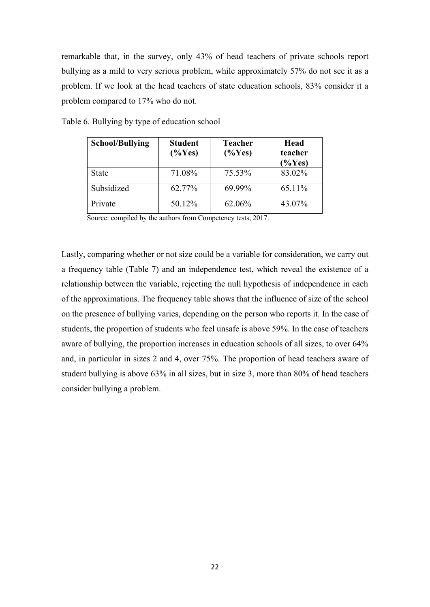remarkable that, in the survey, only 43% of head teachers of private schools report bullying as a mild to very serious problem, while approximately 57% do not see it as a problem. If we look at the head teachers of state education schools, 83% consider it a problem compared to 17% who do not.

| <b>School/Bullying</b> | <b>Student</b><br>$(\%Yes)$ | <b>Teacher</b><br>$(\%Yes)$ | Head<br>teacher<br>$\frac{\% \text{Yes}}{\text{Yes}}$ |
|------------------------|-----------------------------|-----------------------------|-------------------------------------------------------|
| <b>State</b>           | 71.08%                      | 75.53%                      | 83.02%                                                |
| Subsidized             | 62.77%                      | 69.99%                      | 65.11%                                                |
| Private                | 50.12%                      | 62.06%                      | 43.07%                                                |

Table 6. Bullying by type of education school

Source: compiled by the authors from Competency tests, 2017.

Lastly, comparing whether or not size could be a variable for consideration, we carry out a frequency table (Table 7) and an independence test, which reveal the existence of a relationship between the variable, rejecting the null hypothesis of independence in each of the approximations. The frequency table shows that the influence of size of the school on the presence of bullying varies, depending on the person who reports it. In the case of students, the proportion of students who feel unsafe is above 59%. In the case of teachers aware of bullying, the proportion increases in education schools of all sizes, to over 64% and, in particular in sizes 2 and 4, over 75%. The proportion of head teachers aware of student bullying is above 63% in all sizes, but in size 3, more than 80% of head teachers consider bullying a problem.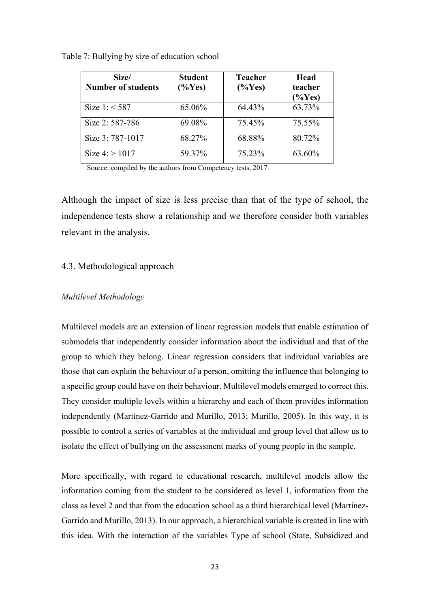| Size/<br><b>Number of students</b> | <b>Student</b><br>$(\%Yes)$ | <b>Teacher</b><br>$(\%Yes)$ | Head<br>teacher<br>$(\%Yes)$ |
|------------------------------------|-----------------------------|-----------------------------|------------------------------|
| Size $1: < 587$                    | 65.06%                      | 64.43%                      | 63.73%                       |
| Size 2: 587-786                    | 69.08%                      | 75.45%                      | 75.55%                       |
| Size 3: 787-1017                   | 68.27%                      | 68.88%                      | 80.72%                       |
| Size $4:$ > 1017                   | 59.37%                      | 75.23%                      | 63.60%                       |

Table 7: Bullying by size of education school

Source: compiled by the authors from Competency tests, 2017.

Although the impact of size is less precise than that of the type of school, the independence tests show a relationship and we therefore consider both variables relevant in the analysis.

#### 4.3. Methodological approach

#### *Multilevel Methodology*

Multilevel models are an extension of linear regression models that enable estimation of submodels that independently consider information about the individual and that of the group to which they belong. Linear regression considers that individual variables are those that can explain the behaviour of a person, omitting the influence that belonging to a specific group could have on their behaviour. Multilevel models emerged to correct this. They consider multiple levels within a hierarchy and each of them provides information independently (Martínez-Garrido and Murillo, 2013; Murillo, 2005). In this way, it is possible to control a series of variables at the individual and group level that allow us to isolate the effect of bullying on the assessment marks of young people in the sample.

More specifically, with regard to educational research, multilevel models allow the information coming from the student to be considered as level 1, information from the class as level 2 and that from the education school as a third hierarchical level (Martínez-Garrido and Murillo, 2013). In our approach, a hierarchical variable is created in line with this idea. With the interaction of the variables Type of school (State, Subsidized and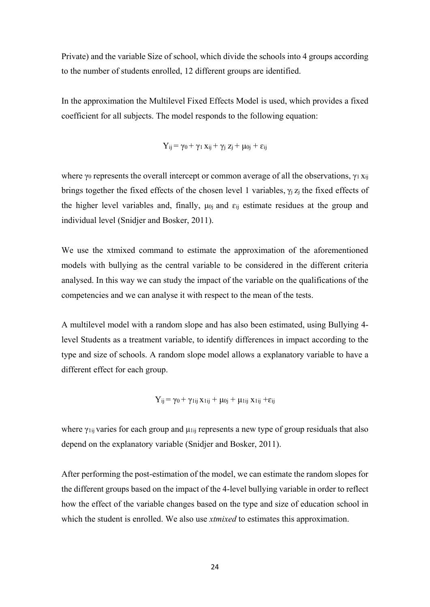Private) and the variable Size of school, which divide the schools into 4 groups according to the number of students enrolled, 12 different groups are identified.

In the approximation the Multilevel Fixed Effects Model is used, which provides a fixed coefficient for all subjects. The model responds to the following equation:

$$
Y_{ij}\!=\!\gamma_0\!+\gamma_1\,x_{ij}\!+\gamma_j\,z_j\!+\mu_{0j}+\epsilon_{ij}
$$

where  $\gamma_0$  represents the overall intercept or common average of all the observations,  $\gamma_1 x_{ij}$ brings together the fixed effects of the chosen level 1 variables,  $\gamma_i z_i$  the fixed effects of the higher level variables and, finally,  $\mu_{0i}$  and  $\varepsilon_{ii}$  estimate residues at the group and individual level (Snidjer and Bosker, 2011).

We use the xtmixed command to estimate the approximation of the aforementioned models with bullying as the central variable to be considered in the different criteria analysed. In this way we can study the impact of the variable on the qualifications of the competencies and we can analyse it with respect to the mean of the tests.

A multilevel model with a random slope and has also been estimated, using Bullying 4 level Students as a treatment variable, to identify differences in impact according to the type and size of schools. A random slope model allows a explanatory variable to have a different effect for each group.

$$
Y_{ij}\!=\!\gamma_0\!+\gamma_{1ij}\,x_{1ij}+\mu_{0j}+\mu_{1ij}\,x_{1ij}\!+\!\epsilon_{ij}
$$

where  $\gamma_{1ij}$  varies for each group and  $\mu_{1ij}$  represents a new type of group residuals that also depend on the explanatory variable (Snidjer and Bosker, 2011).

After performing the post-estimation of the model, we can estimate the random slopes for the different groups based on the impact of the 4-level bullying variable in order to reflect how the effect of the variable changes based on the type and size of education school in which the student is enrolled. We also use *xtmixed* to estimates this approximation.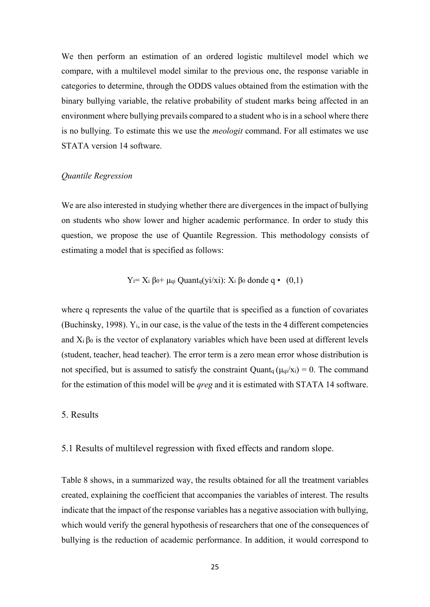We then perform an estimation of an ordered logistic multilevel model which we compare, with a multilevel model similar to the previous one, the response variable in categories to determine, through the ODDS values obtained from the estimation with the binary bullying variable, the relative probability of student marks being affected in an environment where bullying prevails compared to a student who is in a school where there is no bullying. To estimate this we use the *meologit* command. For all estimates we use STATA version 14 software.

#### *Quantile Regression*

We are also interested in studying whether there are divergences in the impact of bullying on students who show lower and higher academic performance. In order to study this question, we propose the use of Quantile Regression. This methodology consists of estimating a model that is specified as follows:

$$
Y_i = X_i \beta_0 + \mu_{qi} \text{Quant}_q(y_i/x_i): X_i \beta_0 \text{ donde } q \cdot (0,1)
$$

where q represents the value of the quartile that is specified as a function of covariates (Buchinsky, 1998). Yi, in our case, is the value of the tests in the 4 different competencies and  $X_i$   $\beta_0$  is the vector of explanatory variables which have been used at different levels (student, teacher, head teacher). The error term is a zero mean error whose distribution is not specified, but is assumed to satisfy the constraint Quant<sub>q</sub> ( $\mu_{qi}/x_i$ ) = 0. The command for the estimation of this model will be *qreg* and it is estimated with STATA 14 software.

#### 5. Results

#### 5.1 Results of multilevel regression with fixed effects and random slope.

Table 8 shows, in a summarized way, the results obtained for all the treatment variables created, explaining the coefficient that accompanies the variables of interest. The results indicate that the impact of the response variables has a negative association with bullying, which would verify the general hypothesis of researchers that one of the consequences of bullying is the reduction of academic performance. In addition, it would correspond to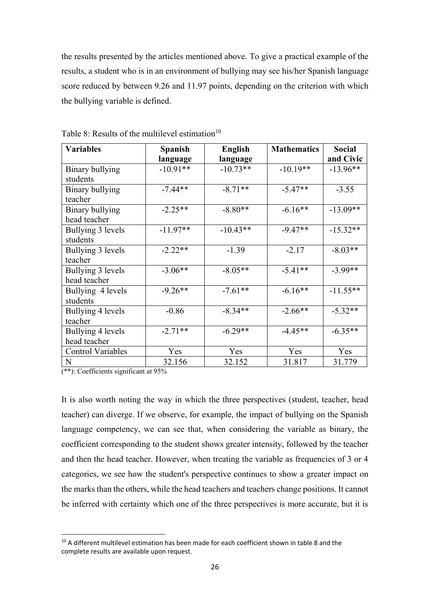the results presented by the articles mentioned above. To give a practical example of the results, a student who is in an environment of bullying may see his/her Spanish language score reduced by between 9.26 and 11.97 points, depending on the criterion with which the bullying variable is defined.

| <b>Variables</b>         | <b>Spanish</b> | <b>English</b> | <b>Mathematics</b> | <b>Social</b> |
|--------------------------|----------------|----------------|--------------------|---------------|
|                          | language       | language       |                    | and Civic     |
| Binary bullying          | $-10.91**$     | $-10.73**$     | $-10.19**$         | $-13.96**$    |
| students                 |                |                |                    |               |
| Binary bullying          | $-7.44**$      | $-8.71**$      | $-5.47**$          | $-3.55$       |
| teacher                  |                |                |                    |               |
| Binary bullying          | $-2.25**$      | $-8.80**$      | $-6.16**$          | $-13.09**$    |
| head teacher             |                |                |                    |               |
| Bullying 3 levels        | $-11.97**$     | $-10.43**$     | $-9.47**$          | $-15.32**$    |
| students                 |                |                |                    |               |
| Bullying 3 levels        | $-2.22**$      | $-1.39$        | $-2.17$            | $-8.03**$     |
| teacher                  |                |                |                    |               |
| Bullying 3 levels        | $-3.06**$      | $-8.05**$      | $-5.41**$          | $-3.99**$     |
| head teacher             |                |                |                    |               |
| Bullying 4 levels        | $-9.26**$      | $-7.61**$      | $-6.16**$          | $-11.55**$    |
| students                 |                |                |                    |               |
| Bullying 4 levels        | $-0.86$        | $-8.34**$      | $-2.66**$          | $-5.32**$     |
| teacher                  |                |                |                    |               |
| Bullying 4 levels        | $-2.71**$      | $-6.29**$      | $-4.45**$          | $-6.35**$     |
| head teacher             |                |                |                    |               |
| <b>Control Variables</b> | Yes            | Yes            | Yes                | Yes           |
| N                        | 32.156         | 32.152         | 31.817             | 31.779        |

Table 8: Results of the multilevel estimation $10$ 

 $\sqrt{(*)}$ : Coefficients significant at 95%

**.** 

It is also worth noting the way in which the three perspectives (student, teacher, head teacher) can diverge. If we observe, for example, the impact of bullying on the Spanish language competency, we can see that, when considering the variable as binary, the coefficient corresponding to the student shows greater intensity, followed by the teacher and then the head teacher. However, when treating the variable as frequencies of 3 or 4 categories, we see how the student's perspective continues to show a greater impact on the marks than the others, while the head teachers and teachers change positions. It cannot be inferred with certainty which one of the three perspectives is more accurate, but it is

<sup>&</sup>lt;sup>10</sup> A different multilevel estimation has been made for each coefficient shown in table 8 and the complete results are available upon request.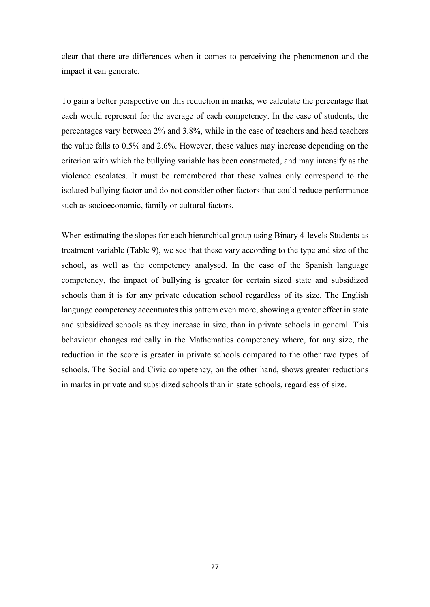clear that there are differences when it comes to perceiving the phenomenon and the impact it can generate.

To gain a better perspective on this reduction in marks, we calculate the percentage that each would represent for the average of each competency. In the case of students, the percentages vary between 2% and 3.8%, while in the case of teachers and head teachers the value falls to 0.5% and 2.6%. However, these values may increase depending on the criterion with which the bullying variable has been constructed, and may intensify as the violence escalates. It must be remembered that these values only correspond to the isolated bullying factor and do not consider other factors that could reduce performance such as socioeconomic, family or cultural factors.

When estimating the slopes for each hierarchical group using Binary 4-levels Students as treatment variable (Table 9), we see that these vary according to the type and size of the school, as well as the competency analysed. In the case of the Spanish language competency, the impact of bullying is greater for certain sized state and subsidized schools than it is for any private education school regardless of its size. The English language competency accentuates this pattern even more, showing a greater effect in state and subsidized schools as they increase in size, than in private schools in general. This behaviour changes radically in the Mathematics competency where, for any size, the reduction in the score is greater in private schools compared to the other two types of schools. The Social and Civic competency, on the other hand, shows greater reductions in marks in private and subsidized schools than in state schools, regardless of size.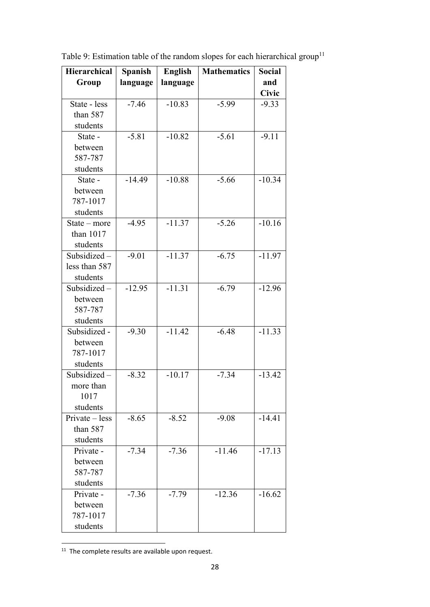| Hierarchical     | Spanish  | <b>English</b> | <b>Mathematics</b> | <b>Social</b> |
|------------------|----------|----------------|--------------------|---------------|
| Group            | language | language       |                    | and           |
|                  |          |                |                    | <b>Civic</b>  |
| State - less     | $-7.46$  | $-10.83$       | $-5.99$            | $-9.33$       |
| than 587         |          |                |                    |               |
| students         |          |                |                    |               |
| State -          | $-5.81$  | $-10.82$       | $-5.61$            | $-9.11$       |
| between          |          |                |                    |               |
| 587-787          |          |                |                    |               |
| students         |          |                |                    |               |
| State -          | $-14.49$ | $-10.88$       | $-5.66$            | $-10.34$      |
| between          |          |                |                    |               |
| 787-1017         |          |                |                    |               |
| students         |          |                |                    |               |
| State – more     | $-4.95$  | $-11.37$       | $-5.26$            | $-10.16$      |
| than 1017        |          |                |                    |               |
| students         |          |                |                    |               |
| Subsidized-      | $-9.01$  | $-11.37$       | $-6.75$            | $-11.97$      |
| less than 587    |          |                |                    |               |
| students         |          |                |                    |               |
| Subsidized -     | $-12.95$ | $-11.31$       | $-6.79$            | $-12.96$      |
| between          |          |                |                    |               |
| 587-787          |          |                |                    |               |
| students         |          |                |                    |               |
| Subsidized -     | $-9.30$  | $-11.42$       | $-6.48$            | $-11.33$      |
| between          |          |                |                    |               |
| 787-1017         |          |                |                    |               |
| students         |          |                |                    |               |
| Subsidized       | $-8.32$  | $-10.17$       | $-7.34$            | $-13.42$      |
| more than        |          |                |                    |               |
| 1017             |          |                |                    |               |
| students         |          |                |                    |               |
| $Private - less$ | $-8.65$  | $-8.52$        | $-9.08$            | $-14.41$      |
| than 587         |          |                |                    |               |
| students         |          |                |                    |               |
| Private -        | $-7.34$  | $-7.36$        | $-11.46$           | $-17.13$      |
| between          |          |                |                    |               |
| 587-787          |          |                |                    |               |
| students         |          |                |                    |               |
| Private -        | $-7.36$  | $-7.79$        | $-12.36$           | $-16.62$      |
| between          |          |                |                    |               |
| 787-1017         |          |                |                    |               |
| students         |          |                |                    |               |

Table 9: Estimation table of the random slopes for each hierarchical group<sup>11</sup>

 $11$  The complete results are available upon request.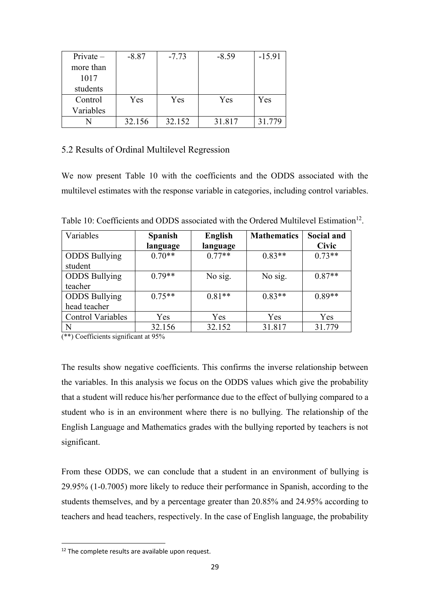| $Private-$ | $-8.87$ | $-7.73$ | $-8.59$ | $-15.91$ |
|------------|---------|---------|---------|----------|
| more than  |         |         |         |          |
| 1017       |         |         |         |          |
| students   |         |         |         |          |
| Control    | Yes     | Yes     | Yes     | Yes      |
| Variables  |         |         |         |          |
|            | 32.156  | 32.152  | 31.817  | 31.779   |

#### 5.2 Results of Ordinal Multilevel Regression

We now present Table 10 with the coefficients and the ODDS associated with the multilevel estimates with the response variable in categories, including control variables.

| Variables                | <b>Spanish</b> | <b>English</b> | <b>Mathematics</b> | <b>Social and</b> |
|--------------------------|----------------|----------------|--------------------|-------------------|
|                          | language       | language       |                    | <b>Civic</b>      |
| <b>ODDS</b> Bullying     | $0.70**$       | $0.77**$       | $0.83**$           | $0.73**$          |
| student                  |                |                |                    |                   |
| <b>ODDS</b> Bullying     | $0.79**$       | No sig.        | No sig.            | $0.87**$          |
| teacher                  |                |                |                    |                   |
| <b>ODDS</b> Bullying     | $0.75**$       | $0.81**$       | $0.83**$           | $0.89**$          |
| head teacher             |                |                |                    |                   |
| <b>Control Variables</b> | <b>Yes</b>     | Yes            | Yes                | Yes               |
| N                        | 32.156         | 32.152         | 31.817             | 31.779            |

Table 10: Coefficients and ODDS associated with the Ordered Multilevel Estimation<sup>12</sup>.

(\*\*) Coefficients significant at 95%

The results show negative coefficients. This confirms the inverse relationship between the variables. In this analysis we focus on the ODDS values which give the probability that a student will reduce his/her performance due to the effect of bullying compared to a student who is in an environment where there is no bullying. The relationship of the English Language and Mathematics grades with the bullying reported by teachers is not significant.

From these ODDS, we can conclude that a student in an environment of bullying is 29.95% (1-0.7005) more likely to reduce their performance in Spanish, according to the students themselves, and by a percentage greater than 20.85% and 24.95% according to teachers and head teachers, respectively. In the case of English language, the probability

 $12$  The complete results are available upon request.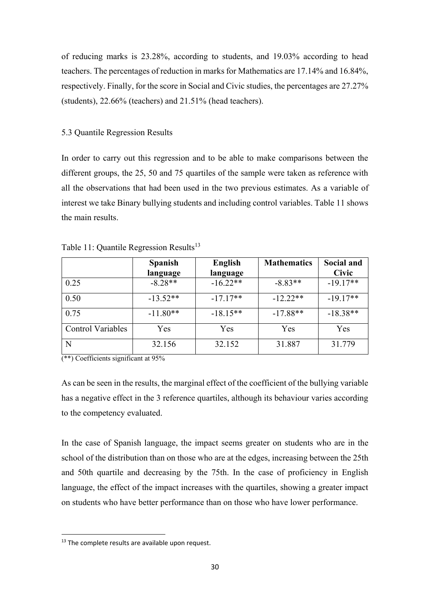of reducing marks is 23.28%, according to students, and 19.03% according to head teachers. The percentages of reduction in marks for Mathematics are 17.14% and 16.84%, respectively. Finally, for the score in Social and Civic studies, the percentages are 27.27% (students), 22.66% (teachers) and 21.51% (head teachers).

#### 5.3 Quantile Regression Results

In order to carry out this regression and to be able to make comparisons between the different groups, the 25, 50 and 75 quartiles of the sample were taken as reference with all the observations that had been used in the two previous estimates. As a variable of interest we take Binary bullying students and including control variables. Table 11 shows the main results.

|                          | <b>Spanish</b> | English    | <b>Mathematics</b> | Social and   |
|--------------------------|----------------|------------|--------------------|--------------|
|                          | language       | language   |                    | <b>Civic</b> |
| 0.25                     | $-8.28**$      | $-16.22**$ | $-8.83**$          | $-19.17**$   |
| 0.50                     | $-13.52**$     | $-17.17**$ | $-12.22**$         | $-19.17**$   |
| 0.75                     | $-11.80**$     | $-18.15**$ | $-17.88**$         | $-18.38**$   |
| <b>Control Variables</b> | <b>Yes</b>     | Yes        | Yes                | Yes          |
| N                        | 32.156         | 32.152     | 31.887             | 31.779       |

Table 11: Quantile Regression Results<sup>13</sup>

(\*\*) Coefficients significant at 95%

As can be seen in the results, the marginal effect of the coefficient of the bullying variable has a negative effect in the 3 reference quartiles, although its behaviour varies according to the competency evaluated.

In the case of Spanish language, the impact seems greater on students who are in the school of the distribution than on those who are at the edges, increasing between the 25th and 50th quartile and decreasing by the 75th. In the case of proficiency in English language, the effect of the impact increases with the quartiles, showing a greater impact on students who have better performance than on those who have lower performance.

<sup>&</sup>lt;sup>13</sup> The complete results are available upon request.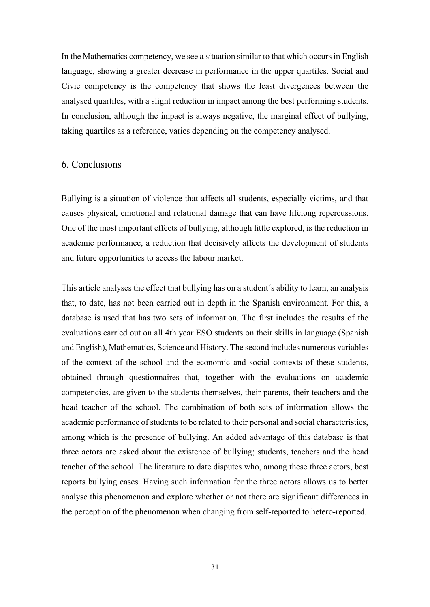In the Mathematics competency, we see a situation similar to that which occurs in English language, showing a greater decrease in performance in the upper quartiles. Social and Civic competency is the competency that shows the least divergences between the analysed quartiles, with a slight reduction in impact among the best performing students. In conclusion, although the impact is always negative, the marginal effect of bullying, taking quartiles as a reference, varies depending on the competency analysed.

#### 6. Conclusions

Bullying is a situation of violence that affects all students, especially victims, and that causes physical, emotional and relational damage that can have lifelong repercussions. One of the most important effects of bullying, although little explored, is the reduction in academic performance, a reduction that decisively affects the development of students and future opportunities to access the labour market.

This article analyses the effect that bullying has on a student´s ability to learn, an analysis that, to date, has not been carried out in depth in the Spanish environment. For this, a database is used that has two sets of information. The first includes the results of the evaluations carried out on all 4th year ESO students on their skills in language (Spanish and English), Mathematics, Science and History. The second includes numerous variables of the context of the school and the economic and social contexts of these students, obtained through questionnaires that, together with the evaluations on academic competencies, are given to the students themselves, their parents, their teachers and the head teacher of the school. The combination of both sets of information allows the academic performance of students to be related to their personal and social characteristics, among which is the presence of bullying. An added advantage of this database is that three actors are asked about the existence of bullying; students, teachers and the head teacher of the school. The literature to date disputes who, among these three actors, best reports bullying cases. Having such information for the three actors allows us to better analyse this phenomenon and explore whether or not there are significant differences in the perception of the phenomenon when changing from self-reported to hetero-reported.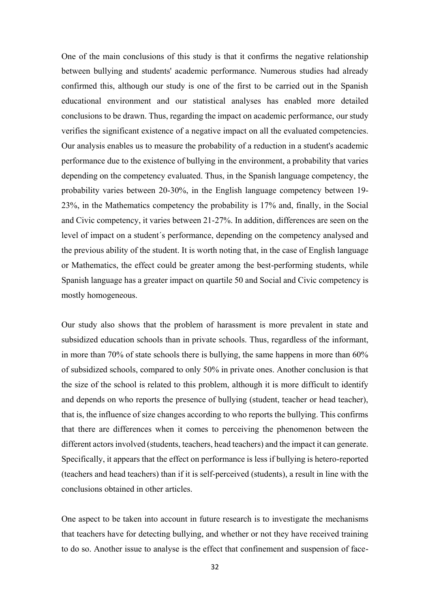One of the main conclusions of this study is that it confirms the negative relationship between bullying and students' academic performance. Numerous studies had already confirmed this, although our study is one of the first to be carried out in the Spanish educational environment and our statistical analyses has enabled more detailed conclusions to be drawn. Thus, regarding the impact on academic performance, our study verifies the significant existence of a negative impact on all the evaluated competencies. Our analysis enables us to measure the probability of a reduction in a student's academic performance due to the existence of bullying in the environment, a probability that varies depending on the competency evaluated. Thus, in the Spanish language competency, the probability varies between 20-30%, in the English language competency between 19- 23%, in the Mathematics competency the probability is 17% and, finally, in the Social and Civic competency, it varies between 21-27%. In addition, differences are seen on the level of impact on a student´s performance, depending on the competency analysed and the previous ability of the student. It is worth noting that, in the case of English language or Mathematics, the effect could be greater among the best-performing students, while Spanish language has a greater impact on quartile 50 and Social and Civic competency is mostly homogeneous.

Our study also shows that the problem of harassment is more prevalent in state and subsidized education schools than in private schools. Thus, regardless of the informant, in more than 70% of state schools there is bullying, the same happens in more than 60% of subsidized schools, compared to only 50% in private ones. Another conclusion is that the size of the school is related to this problem, although it is more difficult to identify and depends on who reports the presence of bullying (student, teacher or head teacher), that is, the influence of size changes according to who reports the bullying. This confirms that there are differences when it comes to perceiving the phenomenon between the different actors involved (students, teachers, head teachers) and the impact it can generate. Specifically, it appears that the effect on performance is less if bullying is hetero-reported (teachers and head teachers) than if it is self-perceived (students), a result in line with the conclusions obtained in other articles.

One aspect to be taken into account in future research is to investigate the mechanisms that teachers have for detecting bullying, and whether or not they have received training to do so. Another issue to analyse is the effect that confinement and suspension of face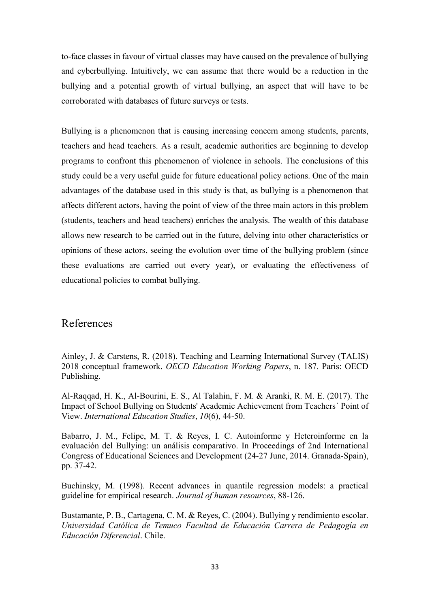to-face classes in favour of virtual classes may have caused on the prevalence of bullying and cyberbullying. Intuitively, we can assume that there would be a reduction in the bullying and a potential growth of virtual bullying, an aspect that will have to be corroborated with databases of future surveys or tests.

Bullying is a phenomenon that is causing increasing concern among students, parents, teachers and head teachers. As a result, academic authorities are beginning to develop programs to confront this phenomenon of violence in schools. The conclusions of this study could be a very useful guide for future educational policy actions. One of the main advantages of the database used in this study is that, as bullying is a phenomenon that affects different actors, having the point of view of the three main actors in this problem (students, teachers and head teachers) enriches the analysis. The wealth of this database allows new research to be carried out in the future, delving into other characteristics or opinions of these actors, seeing the evolution over time of the bullying problem (since these evaluations are carried out every year), or evaluating the effectiveness of educational policies to combat bullying.

## References

Ainley, J. & Carstens, R. (2018). Teaching and Learning International Survey (TALIS) 2018 conceptual framework. *OECD Education Working Papers*, n. 187. Paris: OECD Publishing.

Al-Raqqad, H. K., Al-Bourini, E. S., Al Talahin, F. M. & Aranki, R. M. E. (2017). The Impact of School Bullying on Students' Academic Achievement from Teachers´ Point of View. *International Education Studies*, *10*(6), 44-50.

Babarro, J. M., Felipe, M. T. & Reyes, I. C. Autoinforme y Heteroinforme en la evaluación del Bullying: un análisis comparativo. In Proceedings of 2nd International Congress of Educational Sciences and Development (24-27 June, 2014. Granada-Spain), pp. 37-42.

Buchinsky, M. (1998). Recent advances in quantile regression models: a practical guideline for empirical research. *Journal of human resources*, 88-126.

Bustamante, P. B., Cartagena, C. M. & Reyes, C. (2004). Bullying y rendimiento escolar. *Universidad Católica de Temuco Facultad de Educación Carrera de Pedagogía en Educación Diferencial*. Chile.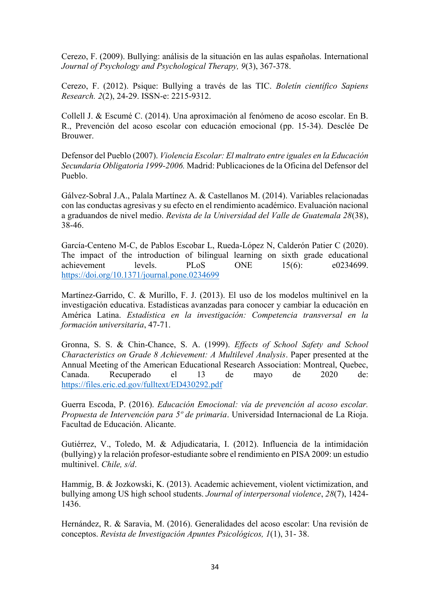Cerezo, F. (2009). Bullying: análisis de la situación en las aulas españolas. International *Journal of Psychology and Psychological Therapy, 9*(3), 367-378.

Cerezo, F. (2012). Psique: Bullying a través de las TIC. *Boletín científico Sapiens Research. 2*(2), 24-29. ISSN-e: 2215-9312.

Collell J. & Escumé C. (2014). Una aproximación al fenómeno de acoso escolar. En B. R., Prevención del acoso escolar con educación emocional (pp. 15-34). Desclée De Brouwer.

Defensor del Pueblo (2007). *Violencia Escolar: El maltrato entre iguales en la Educación Secundaria Obligatoria 1999-2006.* Madrid: Publicaciones de la Oficina del Defensor del Pueblo.

Gálvez-Sobral J.A., Palala Martínez A. & Castellanos M. (2014). Variables relacionadas con las conductas agresivas y su efecto en el rendimiento académico. Evaluación nacional a graduandos de nivel medio. *Revista de la Universidad del Valle de Guatemala 28*(38), 38-46.

García-Centeno M-C, de Pablos Escobar L, Rueda-López N, Calderón Patier C (2020). The impact of the introduction of bilingual learning on sixth grade educational achievement levels. PLoS ONE 15(6): e0234699. https://doi.org/10.1371/journal.pone.0234699

Martínez-Garrido, C. & Murillo, F. J. (2013). El uso de los modelos multinivel en la investigación educativa. Estadísticas avanzadas para conocer y cambiar la educación en América Latina. *Estadística en la investigación: Competencia transversal en la formación universitaria*, 47-71.

Gronna, S. S. & Chin-Chance, S. A. (1999). *Effects of School Safety and School Characteristics on Grade 8 Achievement: A Multilevel Analysis*. Paper presented at the Annual Meeting of the American Educational Research Association: Montreal, Quebec, Canada. Recuperado el 13 de mayo de 2020 de: https://files.eric.ed.gov/fulltext/ED430292.pdf

Guerra Escoda, P. (2016). *Educación Emocional: vía de prevención al acoso escolar. Propuesta de Intervención para 5º de primaria*. Universidad Internacional de La Rioja. Facultad de Educación. Alicante.

Gutiérrez, V., Toledo, M. & Adjudicataria, I. (2012). Influencia de la intimidación (bullying) y la relación profesor-estudiante sobre el rendimiento en PISA 2009: un estudio multinivel. *Chile, s/d*.

Hammig, B. & Jozkowski, K. (2013). Academic achievement, violent victimization, and bullying among US high school students. *Journal of interpersonal violence*, *28*(7), 1424- 1436.

Hernández, R. & Saravia, M. (2016). Generalidades del acoso escolar: Una revisión de conceptos. *Revista de Investigación Apuntes Psicológicos, 1*(1), 31- 38.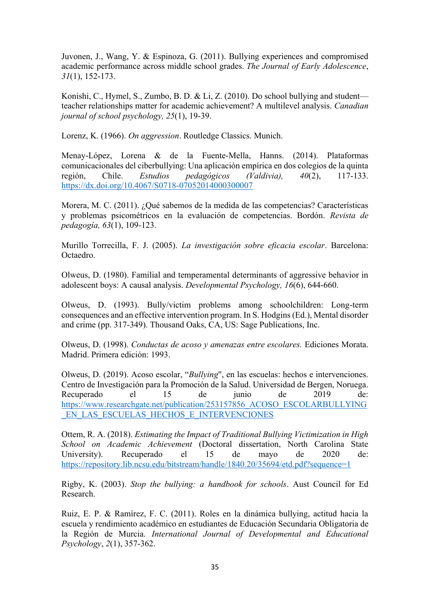Juvonen, J., Wang, Y. & Espinoza, G. (2011). Bullying experiences and compromised academic performance across middle school grades. *The Journal of Early Adolescence*, *31*(1), 152-173.

Konishi, C., Hymel, S., Zumbo, B. D. & Li, Z. (2010). Do school bullying and student teacher relationships matter for academic achievement? A multilevel analysis. *Canadian journal of school psychology, 25*(1), 19-39.

Lorenz, K. (1966). *On aggression*. Routledge Classics. Munich.

Menay-López, Lorena & de la Fuente-Mella, Hanns. (2014). Plataformas comunicacionales del ciberbullying: Una aplicación empírica en dos colegios de la quinta región, Chile. *Estudios pedagógicos (Valdivia), 40*(2), 117-133. https://dx.doi.org/10.4067/S0718-07052014000300007

Morera, M. C. (2011). ¿Qué sabemos de la medida de las competencias? Características y problemas psicométricos en la evaluación de competencias. Bordón. *Revista de pedagogía, 63*(1), 109-123.

Murillo Torrecilla, F. J. (2005). *La investigación sobre eficacia escolar*. Barcelona: Octaedro.

Olweus, D. (1980). Familial and temperamental determinants of aggressive behavior in adolescent boys: A causal analysis. *Developmental Psychology, 16*(6), 644-660.

Olweus, D. (1993). Bully/victim problems among schoolchildren: Long-term consequences and an effective intervention program. In S. Hodgins (Ed.), Mental disorder and crime (pp. 317-349). Thousand Oaks, CA, US: Sage Publications, Inc.

Olweus, D. (1998). *Conductas de acoso y amenazas entre escolares.* Ediciones Morata. Madrid. Primera edición: 1993.

Olweus, D. (2019). Acoso escolar, "*Bullying*", en las escuelas: hechos e intervenciones. Centro de Investigación para la Promoción de la Salud. Universidad de Bergen, Noruega. Recuperado el 15 de junio de 2019 de: https://www.researchgate.net/publication/253157856\_ACOSO\_ESCOLARBULLYING \_EN\_LAS\_ESCUELAS\_HECHOS\_E\_INTERVENCIONES

Ottem, R. A. (2018). *Estimating the Impact of Traditional Bullying Victimization in High School on Academic Achievement* (Doctoral dissertation, North Carolina State University). Recuperado el 15 de mayo de 2020 de: https://repository.lib.ncsu.edu/bitstream/handle/1840.20/35694/etd.pdf?sequence=1

Rigby, K. (2003). *Stop the bullying: a handbook for schools*. Aust Council for Ed Research.

Ruiz, E. P. & Ramírez, F. C. (2011). Roles en la dinámica bullying, actitud hacia la escuela y rendimiento académico en estudiantes de Educación Secundaria Obligatoria de la Región de Murcia. *International Journal of Developmental and Educational Psychology*, *2*(1), 357-362.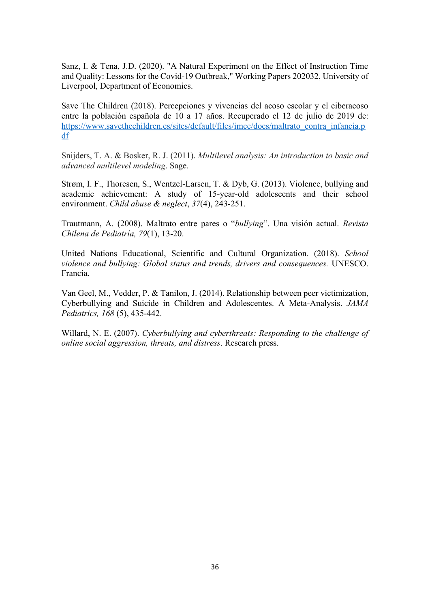Sanz, I. & Tena, J.D. (2020). "A Natural Experiment on the Effect of Instruction Time and Quality: Lessons for the Covid-19 Outbreak," Working Papers 202032, University of Liverpool, Department of Economics.

Save The Children (2018). Percepciones y vivencias del acoso escolar y el ciberacoso entre la población española de 10 a 17 años. Recuperado el 12 de julio de 2019 de: https://www.savethechildren.es/sites/default/files/imce/docs/maltrato\_contra\_infancia.p df

Snijders, T. A. & Bosker, R. J. (2011). *Multilevel analysis: An introduction to basic and advanced multilevel modeling*. Sage.

Strøm, I. F., Thoresen, S., Wentzel-Larsen, T. & Dyb, G. (2013). Violence, bullying and academic achievement: A study of 15-year-old adolescents and their school environment. *Child abuse & neglect*, *37*(4), 243-251.

Trautmann, A. (2008). Maltrato entre pares o "*bullying*". Una visión actual. *Revista Chilena de Pediatría, 79*(1), 13-20.

United Nations Educational, Scientific and Cultural Organization. (2018). *School violence and bullying: Global status and trends, drivers and consequences.* UNESCO. Francia.

Van Geel, M., Vedder, P. & Tanilon, J. (2014). Relationship between peer victimization, Cyberbullying and Suicide in Children and Adolescentes. A Meta-Analysis. *JAMA Pediatrics, 168* (5), 435-442.

Willard, N. E. (2007). *Cyberbullying and cyberthreats: Responding to the challenge of online social aggression, threats, and distress*. Research press.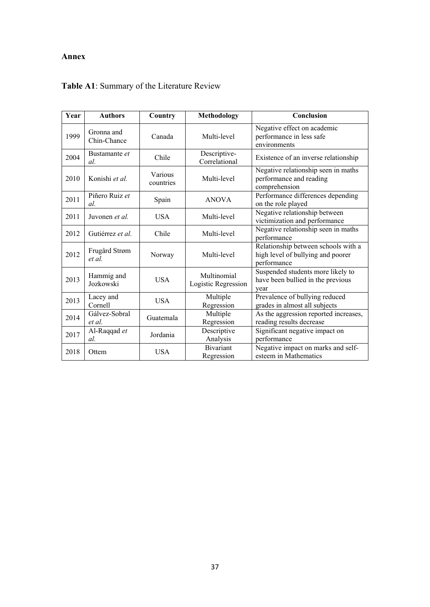## **Annex**

| Year | <b>Authors</b>            | Country              | Methodology                        | Conclusion                                                                              |
|------|---------------------------|----------------------|------------------------------------|-----------------------------------------------------------------------------------------|
| 1999 | Gronna and<br>Chin-Chance | Canada               | Multi-level                        | Negative effect on academic<br>performance in less safe<br>environments                 |
| 2004 | Bustamante et<br>al.      | Chile                | Descriptive-<br>Correlational      | Existence of an inverse relationship                                                    |
| 2010 | Konishi et al.            | Various<br>countries | Multi-level                        | Negative relationship seen in maths<br>performance and reading<br>comprehension         |
| 2011 | Piñero Ruiz et<br>al.     | Spain                | <b>ANOVA</b>                       | Performance differences depending<br>on the role played                                 |
| 2011 | Juvonen et al.            | <b>USA</b>           | Multi-level                        | Negative relationship between<br>victimization and performance                          |
| 2012 | Gutiérrez et al.          | Chile                | Multi-level                        | Negative relationship seen in maths<br>performance                                      |
| 2012 | Frugård Strøm<br>et al.   | Norway               | Multi-level                        | Relationship between schools with a<br>high level of bullying and poorer<br>performance |
| 2013 | Hammig and<br>Jozkowski   | <b>USA</b>           | Multinomial<br>Logistic Regression | Suspended students more likely to<br>have been bullied in the previous<br>year          |
| 2013 | Lacey and<br>Cornell      | <b>USA</b>           | Multiple<br>Regression             | Prevalence of bullying reduced<br>grades in almost all subjects                         |
| 2014 | Gálvez-Sobral<br>et al.   | Guatemala            | Multiple<br>Regression             | As the aggression reported increases,<br>reading results decrease                       |
| 2017 | Al-Raqqad et<br>al.       | Jordania             | Descriptive<br>Analysis            | Significant negative impact on<br>performance                                           |
| 2018 | Ottem                     | <b>USA</b>           | <b>B</b> ivariant<br>Regression    | Negative impact on marks and self-<br>esteem in Mathematics                             |

# **Table A1**: Summary of the Literature Review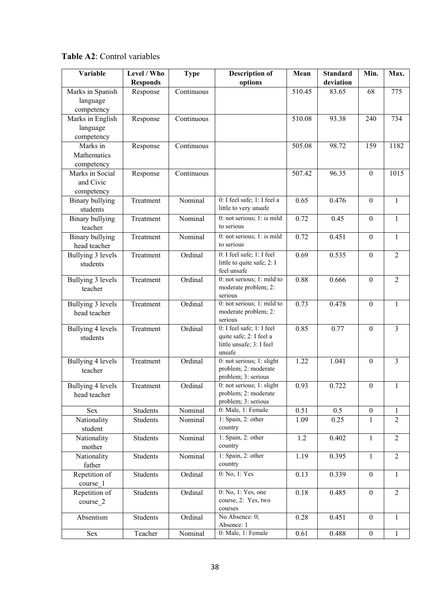|  |  |  |  | Table A2: Control variables |
|--|--|--|--|-----------------------------|
|--|--|--|--|-----------------------------|

| Variable          | Level / Who     | <b>Type</b>                    | <b>Description of</b>                     | Mean   | <b>Standard</b> | Min.             | Max.                    |
|-------------------|-----------------|--------------------------------|-------------------------------------------|--------|-----------------|------------------|-------------------------|
|                   | <b>Responds</b> |                                | options                                   |        | deviation       |                  |                         |
| Marks in Spanish  | Response        | $\overline{\text{Continuous}}$ |                                           | 510.45 | 83.65           | 68               | 775                     |
| language          |                 |                                |                                           |        |                 |                  |                         |
| competency        |                 |                                |                                           |        |                 |                  |                         |
| Marks in English  | Response        | Continuous                     |                                           | 510.08 | 93.38           | 240              | 734                     |
| language          |                 |                                |                                           |        |                 |                  |                         |
| competency        |                 |                                |                                           |        |                 |                  |                         |
| Marks in          | Response        | Continuous                     |                                           | 505.08 | 98.72           | 159              | 1182                    |
| Mathematics       |                 |                                |                                           |        |                 |                  |                         |
| competency        |                 |                                |                                           |        |                 |                  |                         |
| Marks in Social   | Response        | Continuous                     |                                           | 507.42 | 96.35           | $\boldsymbol{0}$ | 1015                    |
| and Civic         |                 |                                |                                           |        |                 |                  |                         |
| competency        |                 |                                |                                           |        |                 |                  |                         |
| Binary bullying   | Treatment       | Nominal                        | 0: I feel safe; 1: I feel a               | 0.65   | 0.476           | $\mathbf{0}$     | $\mathbf{1}$            |
| students          |                 |                                | little to very unsafe                     |        |                 |                  |                         |
| Binary bullying   | Treatment       | Nominal                        | 0: not serious; 1: is mild                | 0.72   | 0.45            | $\boldsymbol{0}$ | $\mathbf{1}$            |
| teacher           |                 |                                | to serious                                |        |                 |                  |                         |
| Binary bullying   | Treatment       | Nominal                        | 0: not serious; $1:$ is mild              | 0.72   | 0.451           | $\boldsymbol{0}$ | $\mathbf{1}$            |
| head teacher      |                 |                                | to serious                                |        |                 |                  |                         |
| Bullying 3 levels | Treatment       | Ordinal                        | 0: I feel safe; 1: I feel                 | 0.69   | 0.535           | $\boldsymbol{0}$ | $\sqrt{2}$              |
| students          |                 |                                | little to quite safe; 2: I                |        |                 |                  |                         |
|                   |                 |                                | feel unsafe<br>0: not serious; 1: mild to |        |                 |                  |                         |
| Bullying 3 levels | Treatment       | Ordinal                        | moderate problem; 2:                      | 0.88   | 0.666           | $\boldsymbol{0}$ | $\overline{2}$          |
| teacher           |                 |                                | serious                                   |        |                 |                  |                         |
| Bullying 3 levels | Treatment       | Ordinal                        | 0: not serious; 1: mild to                | 0.73   | 0.478           | $\mathbf{0}$     | $\mathbf{1}$            |
| head teacher      |                 |                                | moderate problem; 2:                      |        |                 |                  |                         |
|                   |                 |                                | serious                                   |        |                 |                  |                         |
| Bullying 4 levels | Treatment       | Ordinal                        | 0: I feel safe; 1: I feel                 | 0.85   | 0.77            | $\boldsymbol{0}$ | $\mathfrak{Z}$          |
| students          |                 |                                | quite safe; 2: I feel a                   |        |                 |                  |                         |
|                   |                 |                                | little unsafe; 3: I feel                  |        |                 |                  |                         |
|                   |                 |                                | unsafe<br>0: not serious; 1: slight       |        |                 |                  | $\overline{\mathbf{3}}$ |
| Bullying 4 levels | Treatment       | Ordinal                        | problem; 2: moderate                      | 1.22   | 1.041           | $\mathbf{0}$     |                         |
| teacher           |                 |                                | problem; 3: serious                       |        |                 |                  |                         |
| Bullying 4 levels | Treatment       | Ordinal                        | 0: not serious; 1: slight                 | 0.93   | 0.722           | $\boldsymbol{0}$ | $\mathbf{1}$            |
| head teacher      |                 |                                | problem; 2: moderate                      |        |                 |                  |                         |
|                   |                 |                                | problem; 3: serious                       |        |                 |                  |                         |
| Sex               | Students        | Nominal                        | 0: Male, 1: Female                        | 0.51   | 0.5             | $\boldsymbol{0}$ | 1                       |
| Nationality       | Students        | Nominal                        | 1: Spain, 2: other                        | 1.09   | 0.25            | $\mathbf{1}$     | 2                       |
| student           |                 |                                | country                                   |        |                 |                  |                         |
| Nationality       | Students        | Nominal                        | 1: Spain, 2: other                        | 1.2    | 0.402           | $\mathbf{1}$     | $\overline{2}$          |
| mother            |                 |                                | country                                   |        |                 |                  |                         |
| Nationality       | Students        | Nominal                        | 1: Spain, 2: other                        | 1.19   | 0.395           | $\mathbf{1}$     | $\overline{2}$          |
| father            |                 |                                | country                                   |        |                 |                  |                         |
| Repetition of     | Students        | Ordinal                        | 0: No, 1: Yes                             | 0.13   | 0.339           | $\mathbf{0}$     | $\mathbf{1}$            |
| course 1          |                 |                                |                                           |        |                 |                  |                         |
| Repetition of     | Students        | Ordinal                        | 0: No, 1: Yes, one                        | 0.18   | 0.485           | $\boldsymbol{0}$ | $\overline{2}$          |
| course 2          |                 |                                | course, 2: Yes, two                       |        |                 |                  |                         |
|                   |                 |                                | courses                                   |        |                 |                  |                         |
| Absentism         | Students        | Ordinal                        | No Absence: 0;                            | 0.28   | 0.451           | $\mathbf{0}$     | $\mathbf{1}$            |
|                   |                 |                                | Absence: 1                                |        |                 |                  |                         |
| Sex               | Teacher         | Nominal                        | 0: Male, 1: Female                        | 0.61   | 0.488           | $\boldsymbol{0}$ | $\mathbf{1}$            |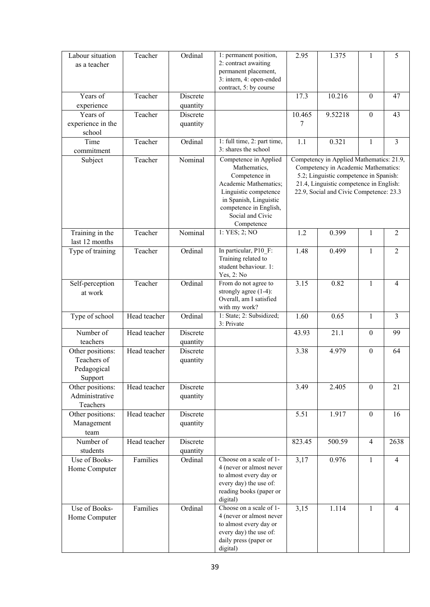| Labour situation<br>as a teacher                          | Teacher      | Ordinal              | 1: permanent position,<br>2: contract awaiting<br>permanent placement,<br>3: intern, 4: open-ended<br>contract, 5: by course                                                                   | 2.95                                                                                                                                                                                                            | 1.375   | 1                | 5              |
|-----------------------------------------------------------|--------------|----------------------|------------------------------------------------------------------------------------------------------------------------------------------------------------------------------------------------|-----------------------------------------------------------------------------------------------------------------------------------------------------------------------------------------------------------------|---------|------------------|----------------|
| Years of<br>experience                                    | Teacher      | Discrete<br>quantity |                                                                                                                                                                                                | 17.3                                                                                                                                                                                                            | 10.216  | $\mathbf{0}$     | 47             |
| Years of<br>experience in the<br>school                   | Teacher      | Discrete<br>quantity |                                                                                                                                                                                                | 10.465                                                                                                                                                                                                          | 9.52218 | $\mathbf{0}$     | 43             |
| Time<br>commitment                                        | Teacher      | Ordinal              | 1: full time, 2: part time,<br>3: shares the school                                                                                                                                            | 1.1                                                                                                                                                                                                             | 0.321   | $\mathbf{1}$     | $\overline{3}$ |
| Subject                                                   | Teacher      | Nominal              | Competence in Applied<br>Mathematics,<br>Competence in<br>Academic Mathematics;<br>Linguistic competence<br>in Spanish, Linguistic<br>competence in English,<br>Social and Civic<br>Competence | Competency in Applied Mathematics: 21.9,<br>Competency in Academic Mathematics:<br>5.2; Linguistic competence in Spanish:<br>21.4, Linguistic competence in English:<br>22.9, Social and Civic Competence: 23.3 |         |                  |                |
| Training in the<br>last 12 months                         | Teacher      | Nominal              | 1: YES; 2; NO                                                                                                                                                                                  | 1.2                                                                                                                                                                                                             | 0.399   | 1                | 2              |
| Type of training                                          | Teacher      | Ordinal              | In particular, P10_F:<br>Training related to<br>student behaviour. 1:<br>Yes, 2: No                                                                                                            | 1.48                                                                                                                                                                                                            | 0.499   | $\mathbf{1}$     | $\overline{2}$ |
| Self-perception<br>at work                                | Teacher      | Ordinal              | From do not agree to<br>strongly agree $(1-4)$ :<br>Overall, am I satisfied<br>with my work?                                                                                                   | 3.15                                                                                                                                                                                                            | 0.82    | $\mathbf{1}$     | $\overline{4}$ |
| Type of school                                            | Head teacher | Ordinal              | 1: State; 2: Subsidized;<br>3: Private                                                                                                                                                         | 1.60                                                                                                                                                                                                            | 0.65    | $\mathbf{1}$     | $\overline{3}$ |
| Number of<br>teachers                                     | Head teacher | Discrete<br>quantity |                                                                                                                                                                                                | 43.93                                                                                                                                                                                                           | 21.1    | $\boldsymbol{0}$ | 99             |
| Other positions:<br>Teachers of<br>Pedagogical<br>Support | Head teacher | Discrete<br>quantity |                                                                                                                                                                                                | 3.38                                                                                                                                                                                                            | 4.979   | $\boldsymbol{0}$ | 64             |
| Other positions:<br>Administrative<br>Teachers            | Head teacher | Discrete<br>quantity |                                                                                                                                                                                                | 3.49                                                                                                                                                                                                            | 2.405   | $\mathbf{0}$     | 21             |
| Other positions:<br>Management<br>team                    | Head teacher | Discrete<br>quantity |                                                                                                                                                                                                | 5.51                                                                                                                                                                                                            | 1.917   | $\boldsymbol{0}$ | 16             |
| Number of<br>students                                     | Head teacher | Discrete<br>quantity |                                                                                                                                                                                                | 823.45                                                                                                                                                                                                          | 500.59  | $\overline{4}$   | 2638           |
| Use of Books-<br>Home Computer                            | Families     | Ordinal              | Choose on a scale of 1-<br>4 (never or almost never<br>to almost every day or<br>every day) the use of:<br>reading books (paper or<br>digital)                                                 | 3,17                                                                                                                                                                                                            | 0.976   | $\mathbf{1}$     | $\overline{4}$ |
| Use of Books-<br>Home Computer                            | Families     | Ordinal              | Choose on a scale of 1-<br>4 (never or almost never<br>to almost every day or<br>every day) the use of:<br>daily press (paper or<br>digital)                                                   | 3,15                                                                                                                                                                                                            | 1.114   | $\mathbf{1}$     | $\overline{4}$ |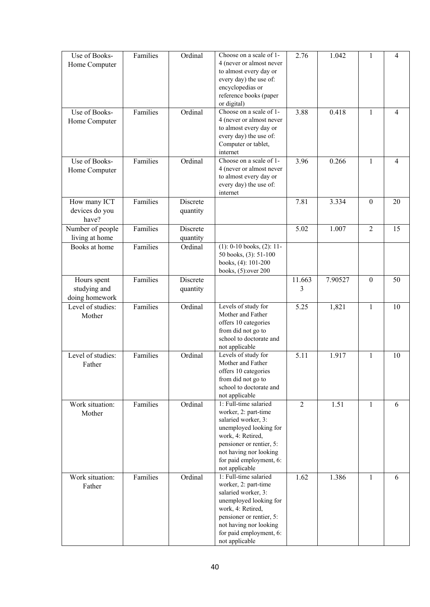| Use of Books-<br>Home Computer                | Families | Ordinal              | Choose on a scale of 1-<br>4 (never or almost never<br>to almost every day or<br>every day) the use of:<br>encyclopedias or<br>reference books (paper<br>or digital)                                                   | 2.76           | 1.042   | 1                | 4              |
|-----------------------------------------------|----------|----------------------|------------------------------------------------------------------------------------------------------------------------------------------------------------------------------------------------------------------------|----------------|---------|------------------|----------------|
| Use of Books-<br>Home Computer                | Families | Ordinal              | Choose on a scale of 1-<br>4 (never or almost never<br>to almost every day or<br>every day) the use of:<br>Computer or tablet,<br>internet                                                                             | 3.88           | 0.418   | $\mathbf{1}$     | $\overline{4}$ |
| Use of Books-<br>Home Computer                | Families | Ordinal              | Choose on a scale of 1-<br>4 (never or almost never<br>to almost every day or<br>every day) the use of:<br>internet                                                                                                    | 3.96           | 0.266   | $\mathbf{1}$     | $\overline{4}$ |
| How many ICT<br>devices do you<br>have?       | Families | Discrete<br>quantity |                                                                                                                                                                                                                        | 7.81           | 3.334   | $\boldsymbol{0}$ | 20             |
| Number of people<br>living at home            | Families | Discrete<br>quantity |                                                                                                                                                                                                                        | 5.02           | 1.007   | $\overline{2}$   | 15             |
| Books at home                                 | Families | Ordinal              | $(1)$ : 0-10 books, $(2)$ : 11-<br>50 books, (3): 51-100<br>books, (4): 101-200<br>books, (5):over 200                                                                                                                 |                |         |                  |                |
| Hours spent<br>studying and<br>doing homework | Families | Discrete<br>quantity |                                                                                                                                                                                                                        | 11.663<br>3    | 7.90527 | $\boldsymbol{0}$ | 50             |
| Level of studies:<br>Mother                   | Families | Ordinal              | Levels of study for<br>Mother and Father<br>offers 10 categories<br>from did not go to<br>school to doctorate and<br>not applicable                                                                                    | 5.25           | 1,821   | $\mathbf{1}$     | 10             |
| Level of studies:<br>Father                   | Families | Ordinal              | Levels of study for<br>Mother and Father<br>offers 10 categories<br>from did not go to<br>school to doctorate and<br>not applicable                                                                                    | 5.11           | 1.917   | $\mathbf{1}$     | 10             |
| Work situation:<br>Mother                     | Families | Ordinal              | 1: Full-time salaried<br>worker, 2: part-time<br>salaried worker, 3:<br>unemployed looking for<br>work, 4: Retired,<br>pensioner or rentier, 5:<br>not having nor looking<br>for paid employment, 6:<br>not applicable | $\overline{2}$ | 1.51    | $\mathbf{1}$     | 6              |
| Work situation:<br>Father                     | Families | Ordinal              | 1: Full-time salaried<br>worker, 2: part-time<br>salaried worker, 3:<br>unemployed looking for<br>work, 4: Retired,<br>pensioner or rentier, 5:<br>not having nor looking<br>for paid employment, 6:<br>not applicable | 1.62           | 1.386   | $\mathbf{1}$     | 6              |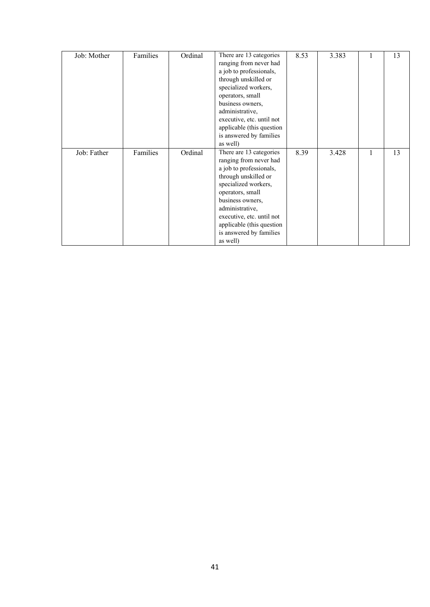| Job: Mother | Families | Ordinal | There are 13 categories             | 8.53 | 3.383 | 1 | 13 |
|-------------|----------|---------|-------------------------------------|------|-------|---|----|
|             |          |         | ranging from never had              |      |       |   |    |
|             |          |         | a job to professionals,             |      |       |   |    |
|             |          |         | through unskilled or                |      |       |   |    |
|             |          |         | specialized workers,                |      |       |   |    |
|             |          |         | operators, small                    |      |       |   |    |
|             |          |         | business owners,                    |      |       |   |    |
|             |          |         | administrative,                     |      |       |   |    |
|             |          |         | executive, etc. until not           |      |       |   |    |
|             |          |         | applicable (this question           |      |       |   |    |
|             |          |         | is answered by families             |      |       |   |    |
|             |          |         | as well)                            |      |       |   |    |
| Job: Father | Families | Ordinal | There are 13 categories             | 8.39 | 3.428 | 1 | 13 |
|             |          |         | ranging from never had              |      |       |   |    |
|             |          |         |                                     |      |       |   |    |
|             |          |         | a job to professionals,             |      |       |   |    |
|             |          |         | through unskilled or                |      |       |   |    |
|             |          |         | specialized workers,                |      |       |   |    |
|             |          |         | operators, small                    |      |       |   |    |
|             |          |         | business owners,                    |      |       |   |    |
|             |          |         | administrative,                     |      |       |   |    |
|             |          |         | executive, etc. until not           |      |       |   |    |
|             |          |         | applicable (this question           |      |       |   |    |
|             |          |         | is answered by families<br>as well) |      |       |   |    |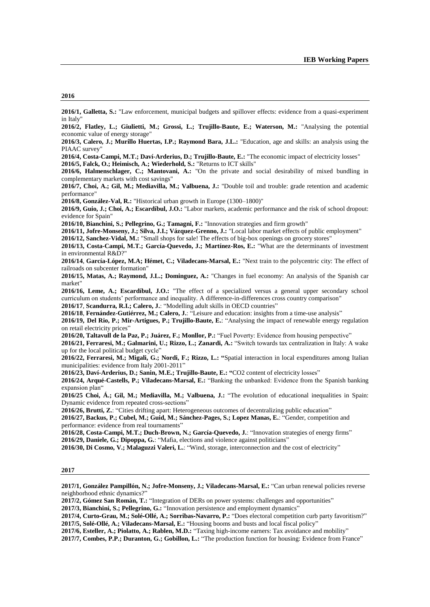#### **2016**

**2016/1, Galletta, S.:** "Law enforcement, municipal budgets and spillover effects: evidence from a quasi-experiment in Italy"

**2016/2, Flatley, L.; Giulietti, M.; Grossi, L.; Trujillo-Baute, E.; Waterson, M.:** "Analysing the potential economic value of energy storage"

**2016/3, Calero, J.; Murillo Huertas, I.P.; Raymond Bara, J.L.:** "Education, age and skills: an analysis using the PIAAC survey"

**2016/4, Costa-Campi, M.T.; Daví-Arderius, D.; Trujillo-Baute, E.:** "The economic impact of electricity losses"

**2016/5, Falck, O.; Heimisch, A.; Wiederhold, S.:** "Returns to ICT skills"

**2016/6, Halmenschlager, C.; Mantovani, A.:** "On the private and social desirability of mixed bundling in complementary markets with cost savings"

**2016/7, Choi, A.; Gil, M.; Mediavilla, M.; Valbuena, J.:** "Double toil and trouble: grade retention and academic performance"

**2016/8, González-Val, R.:** "Historical urban growth in Europe (1300–1800)"

**2016/9, Guio, J.; Choi, A.; Escardíbul, J.O.:** "Labor markets, academic performance and the risk of school dropout: evidence for Spain"

**2016/10, Bianchini, S.; Pellegrino, G.; Tamagni, F.:** "Innovation strategies and firm growth"

**2016/11, Jofre-Monseny, J.; Silva, J.I.; Vázquez-Grenno, J.:** "Local labor market effects of public employment"

**2016/12, Sanchez-Vidal, M.:** "Small shops for sale! The effects of big-box openings on grocery stores"

**2016/13, Costa-Campi, M.T.; García-Quevedo, J.; Martínez-Ros, E.:** "What are the determinants of investment in environmental R&D?"

**2016/14**, **García-López, M.A; Hémet, C.; Viladecans-Marsal, E.:** "Next train to the polycentric city: The effect of railroads on subcenter formation"

**2016/15, Matas, A.; Raymond, J.L.; Dominguez, A.:** "Changes in fuel economy: An analysis of the Spanish car market"

**2016/16, Leme, A.; Escardíbul, J.O.:** "The effect of a specialized versus a general upper secondary school curriculum on students' performance and inequality. A difference-in-differences cross country comparison"

**2016/17**, **Scandurra, R.I.; Calero, J.**: "Modelling adult skills in OECD countries"

**2016/18**, **Fernández-Gutiérrez, M.; Calero, J.**: "Leisure and education: insights from a time-use analysis"

**2016/19, Del Rio, P.; Mir-Artigues, P.; Trujillo-Baute, E.**: "Analysing the impact of renewable energy regulation on retail electricity prices"

**2016/20, Taltavull de la Paz, P.; Juárez, F.; Monllor, P.:** "Fuel Poverty: Evidence from housing perspective"

**2016/21, Ferraresi, M.; Galmarini, U.; Rizzo, L.; Zanardi, A.:** "Switch towards tax centralization in Italy: A wake up for the local political budget cycle"

**2016/22, Ferraresi, M.; Migali, G.; Nordi, F.; Rizzo, L.: "**Spatial interaction in local expenditures among Italian municipalities: evidence from Italy 2001-2011"

**2016/23, Daví-Arderius, D.; Sanin, M.E.; Trujillo-Baute, E.: "**CO2 content of electricity losses"

**2016/24, Arqué-Castells, P.; Viladecans-Marsal, E.:** "Banking the unbanked: Evidence from the Spanish banking expansion plan"

**2016/25 Choi, Á.; Gil, M.; Mediavilla, M.; Valbuena, J.:** "The evolution of educational inequalities in Spain: Dynamic evidence from repeated cross-sections"

**2016/26, Brutti, Z.**: "Cities drifting apart: Heterogeneous outcomes of decentralizing public education"

**2016/27, Backus, P.; Cubel, M.; Guid, M.; Sánchez-Pages, S.; Lopez Manas, E.**: "Gender, competition and performance: evidence from real tournaments"

**2016/28, Costa-Campi, M.T.; Duch-Brown, N.; García-Quevedo, J.**: "Innovation strategies of energy firms" **2016/29, Daniele, G.; Dipoppa, G.**: "Mafia, elections and violence against politicians"

**2016/30, Di Cosmo, V.; Malaguzzi Valeri, L.**: "Wind, storage, interconnection and the cost of electricity"

#### **2017**

**2017/1, González Pampillón, N.; Jofre-Monseny, J.; Viladecans-Marsal, E.:** "Can urban renewal policies reverse neighborhood ethnic dynamics?"

**2017/2, Gómez San Román, T.:** "Integration of DERs on power systems: challenges and opportunities"

**2017/3, Bianchini, S.; Pellegrino, G.:** "Innovation persistence and employment dynamics"

**2017/4, Curto**‐**Grau, M.; Solé**‐**Ollé, A.; Sorribas**‐**Navarro, P.:** "Does electoral competition curb party favoritism?"

**2017/5, Solé**‐**Ollé, A.; Viladecans-Marsal, E.:** "Housing booms and busts and local fiscal policy"

**2017/6, Esteller, A.; Piolatto, A.; Rablen, M.D.:** "Taxing high-income earners: Tax avoidance and mobility"

**2017/7, Combes, P.P.; Duranton, G.; Gobillon, L.:** "The production function for housing: Evidence from France"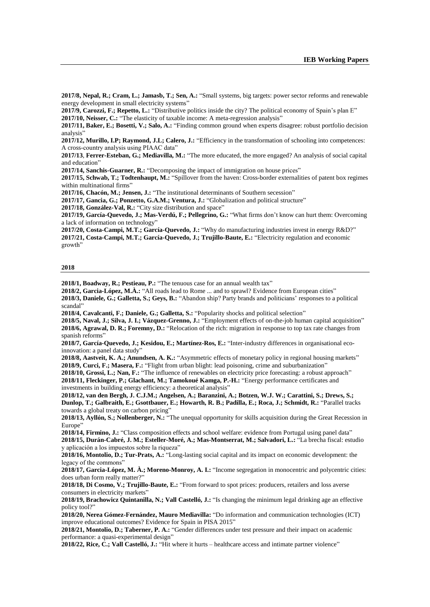**2017/8, Nepal, R.; Cram, L.; Jamasb, T.; Sen, A.:** "Small systems, big targets: power sector reforms and renewable energy development in small electricity systems"

**2017/9, Carozzi, F.; Repetto, L.:** "Distributive politics inside the city? The political economy of Spain's plan E" **2017/10, Neisser, C.:** "The elasticity of taxable income: A meta-regression analysis"

**2017/11, Baker, E.; Bosetti, V.; Salo, A.:** "Finding common ground when experts disagree: robust portfolio decision analysis"

**2017/12, Murillo, I.P; Raymond, J.L; Calero, J.:** "Efficiency in the transformation of schooling into competences: A cross-country analysis using PIAAC data"

**2017/13**, **Ferrer-Esteban, G.; Mediavilla, M.:** "The more educated, the more engaged? An analysis of social capital and education"

**2017/14, Sanchis-Guarner, R.:** "Decomposing the impact of immigration on house prices"

**2017/15, Schwab, T.; Todtenhaupt, M.:** "Spillover from the haven: Cross-border externalities of patent box regimes within multinational firms"

**2017/16, Chacón, M.; Jensen, J.:** "The institutional determinants of Southern secession"

**2017/17, Gancia, G.; Ponzetto, G.A.M.; Ventura, J.:** "Globalization and political structure"

**2017/18, González-Val, R.:** "City size distribution and space"

**2017/19, García-Quevedo, J.; Mas-Verdú, F.; Pellegrino, G.:** "What firms don't know can hurt them: Overcoming a lack of information on technology"

**2017/20, Costa-Campi, M.T.; García-Quevedo, J.:** "Why do manufacturing industries invest in energy R&D?" **2017/21, Costa-Campi, M.T.; García-Quevedo, J.; Trujillo-Baute, E.:** "Electricity regulation and economic growth"

#### **2018**

**2018/1, Boadway, R.; Pestieau, P.:** "The tenuous case for an annual wealth tax"

**2018/2, Garcia-López, M.À.:** "All roads lead to Rome ... and to sprawl? Evidence from European cities"

**2018/3, Daniele, G.; Galletta, S.; Geys, B.:** "Abandon ship? Party brands and politicians' responses to a political scandal"

**2018/4, Cavalcanti, F.; Daniele, G.; Galletta, S.:** "Popularity shocks and political selection"

**2018/5, Naval, J.; Silva, J. I.; Vázquez-Grenno, J.:** "Employment effects of on-the-job human capital acquisition" **2018/6, Agrawal, D. R.; Foremny, D.:** "Relocation of the rich: migration in response to top tax rate changes from spanish reforms"

**2018/7, García-Quevedo, J.; Kesidou, E.; Martínez-Ros, E.:** "Inter-industry differences in organisational ecoinnovation: a panel data study"

**2018/8, Aastveit, K. A.; Anundsen, A. K.:** "Asymmetric effects of monetary policy in regional housing markets" **2018/9, Curci, F.; Masera, F.:** "Flight from urban blight: lead poisoning, crime and suburbanization"

**2018/10, Grossi, L.; Nan, F.:** "The influence of renewables on electricity price forecasting: a robust approach" **2018/11, Fleckinger, P.; Glachant, M.; Tamokoué Kamga, P.-H.:** "Energy performance certificates and investments in building energy efficiency: a theoretical analysis"

**2018/12, van den Bergh, J. C.J.M.; Angelsen, A.; Baranzini, A.; Botzen, W.J. W.; Carattini, S.; Drews, S.; Dunlop, T.; Galbraith, E.; Gsottbauer, E.; Howarth, R. B.; Padilla, E.; Roca, J.; Schmidt, R.:** "Parallel tracks towards a global treaty on carbon pricing"

**2018/13, Ayllón, S.; Nollenberger, N.:** "The unequal opportunity for skills acquisition during the Great Recession in Europe'

**2018/14, Firmino, J.:** "Class composition effects and school welfare: evidence from Portugal using panel data" **2018/15, Durán-Cabré, J. M.; Esteller-Moré, A.; Mas-Montserrat, M.; Salvadori, L.:** "La brecha fiscal: estudio y aplicación a los impuestos sobre la riqueza"

**2018/16, Montolio, D.; Tur-Prats, A.:** "Long-lasting social capital and its impact on economic development: the legacy of the commons"

**2018/17, Garcia-López, M. À.; Moreno-Monroy, A. I.:** "Income segregation in monocentric and polycentric cities: does urban form really matter?"

**2018/18, Di Cosmo, V.; Trujillo-Baute, E.:** "From forward to spot prices: producers, retailers and loss averse consumers in electricity markets"

**2018/19, Brachowicz Quintanilla, N.; Vall Castelló, J.:** "Is changing the minimum legal drinking age an effective policy tool?"

**2018/20, Nerea Gómez-Fernández, Mauro Mediavilla:** "Do information and communication technologies (ICT) improve educational outcomes? Evidence for Spain in PISA 2015"

**2018/21, Montolio, D.; Taberner, P. A.:** "Gender differences under test pressure and their impact on academic performance: a quasi-experimental design"

**2018/22, Rice, C.; Vall Castelló, J.:** "Hit where it hurts – healthcare access and intimate partner violence"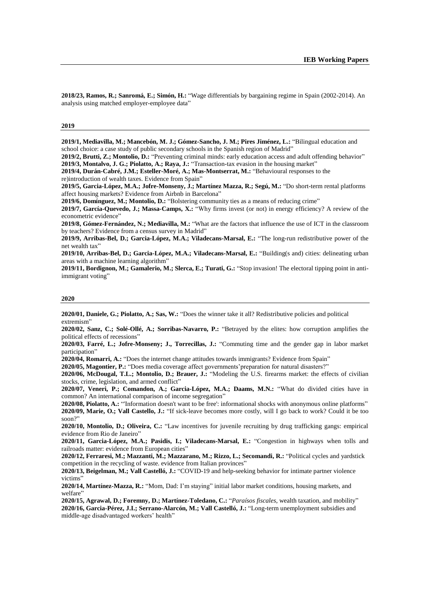**2018/23, Ramos, R.; Sanromá, E.; Simón, H.:** "Wage differentials by bargaining regime in Spain (2002-2014). An analysis using matched employer-employee data"

#### **2019**

**2019/1, Mediavilla, M.; Mancebón, M. J.; Gómez-Sancho, J. M.; Pires Jiménez, L.:** "Bilingual education and school choice: a case study of public secondary schools in the Spanish region of Madrid'

**2019/2, Brutti, Z.; Montolio, D.:** "Preventing criminal minds: early education access and adult offending behavior" **2019/3, Montalvo, J. G.; Piolatto, A.; Raya, J.:** "Transaction-tax evasion in the housing market"

**2019/4, Durán-Cabré, J.M.; Esteller-Moré, A.; Mas-Montserrat, M.:** "Behavioural responses to the

re)introduction of wealth taxes. Evidence from Spain"

**2019/5, Garcia-López, M.A.; Jofre-Monseny, J.; Martínez Mazza, R.; Segú, M.:** "Do short-term rental platforms affect housing markets? Evidence from Airbnb in Barcelona"

**2019/6, Domínguez, M.; Montolio, D.:** "Bolstering community ties as a means of reducing crime"

**2019/7, García-Quevedo, J.; Massa-Camps, X.:** "Why firms invest (or not) in energy efficiency? A review of the econometric evidence"

**2019/8, Gómez-Fernández, N.; Mediavilla, M.:** "What are the factors that influence the use of ICT in the classroom by teachers? Evidence from a census survey in Madrid"

**2019/9, Arribas-Bel, D.; Garcia-López, M.A.; Viladecans-Marsal, E.:** "The long-run redistributive power of the net wealth tax"

**2019/10, Arribas-Bel, D.; Garcia-López, M.A.; Viladecans-Marsal, E.:** "Building(s and) cities: delineating urban areas with a machine learning algorithm"

**2019/11, Bordignon, M.; Gamalerio, M.; Slerca, E.; Turati, G.:** "Stop invasion! The electoral tipping point in antiimmigrant voting"

#### **2020**

**2020/01, Daniele, G.; Piolatto, A.; Sas, W.:** "Does the winner take it all? Redistributive policies and political extremism"

**2020/02, Sanz, C.; Solé-Ollé, A.; Sorribas-Navarro, P.:** "Betrayed by the elites: how corruption amplifies the political effects of recessions"

**2020/03, Farré, L.; Jofre-Monseny; J., Torrecillas, J.:** "Commuting time and the gender gap in labor market participation"

**2020/04, Romarri, A.:** "Does the internet change attitudes towards immigrants? Evidence from Spain"

**2020/05, Magontier, P.:** "Does media coverage affect governments'preparation for natural disasters?"

**2020/06, McDougal, T.L.; Montolio, D.; Brauer, J.:** "Modeling the U.S. firearms market: the effects of civilian stocks, crime, legislation, and armed conflict"

**2020/07, Veneri, P.; Comandon, A.; Garcia-López, M.A.; Daams, M.N.:** "What do divided cities have in common? An international comparison of income segregation"

**2020/08, Piolatto, A.:** "'Information doesn't want to be free': informational shocks with anonymous online platforms" **2020/09, Marie, O.; Vall Castello, J.:** "If sick-leave becomes more costly, will I go back to work? Could it be too soon?"

**2020/10, Montolio, D.; Oliveira, C.:** "Law incentives for juvenile recruiting by drug trafficking gangs: empirical evidence from Rio de Janeiro"

**2020/11, Garcia-López, M.A.; Pasidis, I.; Viladecans-Marsal, E.:** "Congestion in highways when tolls and railroads matter: evidence from European cities"

**2020/12, Ferraresi, M.; Mazzanti, M.; Mazzarano, M.; Rizzo, L.; Secomandi, R.:** "Political cycles and yardstick competition in the recycling of waste. evidence from Italian provinces"

**2020/13, Beigelman, M.; Vall Castelló, J.:** "COVID-19 and help-seeking behavior for intimate partner violence victims"

**2020/14, Martínez-Mazza, R.:** "Mom, Dad: I'm staying" initial labor market conditions, housing markets, and welfare"

**2020/15, Agrawal, D.; Foremny, D.; Martínez-Toledano, C.:** "*Paraísos fiscales*, wealth taxation, and mobility" **2020/16, Garcia-Pérez, J.I.; Serrano-Alarcón, M.; Vall Castelló, J.:** "Long-term unemployment subsidies and middle-age disadvantaged workers' health"